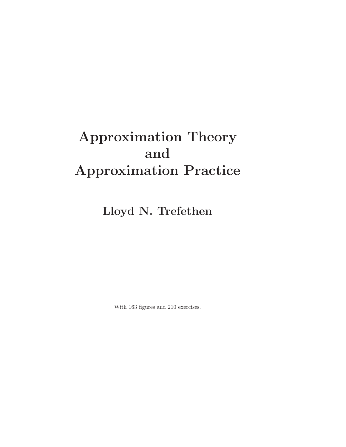# Approximation Theory and Approximation Practice

Lloyd N. Trefethen

With 163 figures and 210 exercises.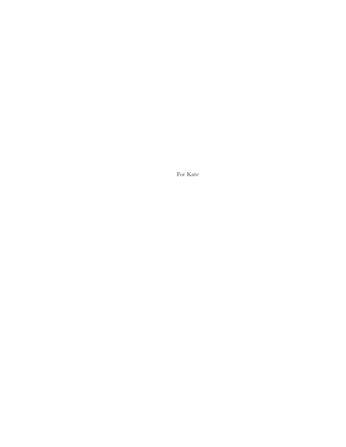For Kate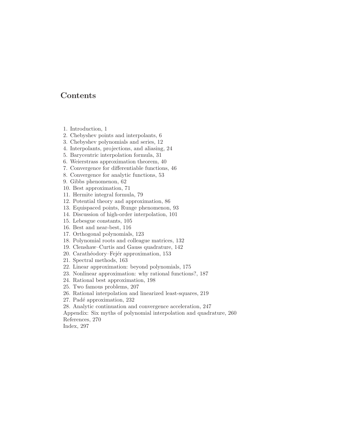## Contents

- 1. Introduction, 1
- 2. Chebyshev points and interpolants, 6
- 3. Chebyshev polynomials and series, 12
- 4. Interpolants, projections, and aliasing, 24
- 5. Barycentric interpolation formula, 31
- 6. Weierstrass approximation theorem, 40
- 7. Convergence for differentiable functions, 46
- 8. Convergence for analytic functions, 53
- 9. Gibbs phenomenon, 62
- 10. Best approximation, 71
- 11. Hermite integral formula, 79
- 12. Potential theory and approximation, 86
- 13. Equispaced points, Runge phenomenon, 93
- 14. Discussion of high-order interpolation, 101
- 15. Lebesgue constants, 105
- 16. Best and near-best, 116
- 17. Orthogonal polynomials, 123
- 18. Polynomial roots and colleague matrices, 132
- 19. Clenshaw–Curtis and Gauss quadrature, 142
- 20. Carathéodory–Fejér approximation, 153
- 21. Spectral methods, 163
- 22. Linear approximation: beyond polynomials, 175
- 23. Nonlinear approximation: why rational functions?, 187
- 24. Rational best approximation, 198
- 25. Two famous problems, 207
- 26. Rational interpolation and linearized least-squares, 219
- 27. Padé approximation, 232
- 28. Analytic continuation and convergence acceleration, 247

Appendix: Six myths of polynomial interpolation and quadrature, 260 References, 270

Index, 297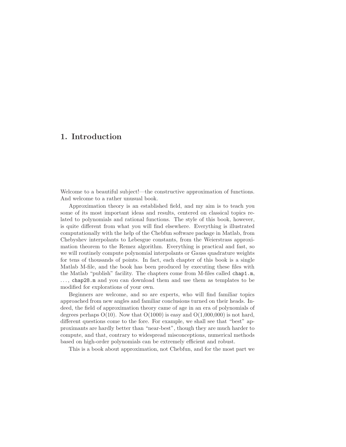# 1. Introduction

Welcome to a beautiful subject!—the constructive approximation of functions. And welcome to a rather unusual book.

Approximation theory is an established field, and my aim is to teach you some of its most important ideas and results, centered on classical topics related to polynomials and rational functions. The style of this book, however, is quite different from what you will find elsewhere. Everything is illustrated computationally with the help of the Chebfun software package in Matlab, from Chebyshev interpolants to Lebesgue constants, from the Weierstrass approximation theorem to the Remez algorithm. Everything is practical and fast, so we will routinely compute polynomial interpolants or Gauss quadrature weights for tens of thousands of points. In fact, each chapter of this book is a single Matlab M-file, and the book has been produced by executing these files with the Matlab "publish" facility. The chapters come from M-files called chap1.m, ..., chap28.m and you can download them and use them as templates to be modified for explorations of your own.

Beginners are welcome, and so are experts, who will find familiar topics approached from new angles and familiar conclusions turned on their heads. Indeed, the field of approximation theory came of age in an era of polynomials of degrees perhaps  $O(10)$ . Now that  $O(1000)$  is easy and  $O(1,000,000)$  is not hard, different questions come to the fore. For example, we shall see that "best" approximants are hardly better than "near-best", though they are much harder to compute, and that, contrary to widespread misconceptions, numerical methods based on high-order polynomials can be extremely efficient and robust.

This is a book about approximation, not Chebfun, and for the most part we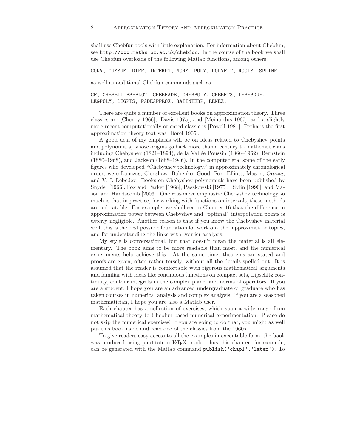shall use Chebfun tools with little explanation. For information about Chebfun, see http://www.maths.ox.ac.uk/chebfun. In the course of the book we shall use Chebfun overloads of the following Matlab functions, among others:

CONV, CUMSUM, DIFF, INTERP1, NORM, POLY, POLYFIT, ROOTS, SPLINE

as well as additional Chebfun commands such as

CF, CHEBELLIPSEPLOT, CHEBPADE, CHEBPOLY, CHEBPTS, LEBESGUE, LEGPOLY, LEGPTS, PADEAPPROX, RATINTERP, REMEZ.

There are quite a number of excellent books on approximation theory. Three classics are [Cheney 1966], [Davis 1975], and [Meinardus 1967], and a slightly more recent computationally oriented classic is [Powell 1981]. Perhaps the first approximation theory text was [Borel 1905].

A good deal of my emphasis will be on ideas related to Chebyshev points and polynomials, whose origins go back more than a century to mathematicians including Chebyshev  $(1821-1894)$ , de la Vallée Poussin  $(1866-1962)$ , Bernstein (1880–1968), and Jackson (1888–1946). In the computer era, some of the early figures who developed "Chebyshev technology," in approximately chronological order, were Lanczos, Clenshaw, Babenko, Good, Fox, Elliott, Mason, Orszag, and V. I. Lebedev. Books on Chebyshev polynomials have been published by Snyder [1966], Fox and Parker [1968], Paszkowski [1975], Rivlin [1990], and Mason and Handscomb [2003]. One reason we emphasize Chebyshev technology so much is that in practice, for working with functions on intervals, these methods are unbeatable. For example, we shall see in Chapter 16 that the difference in approximation power between Chebyshev and "optimal" interpolation points is utterly negligible. Another reason is that if you know the Chebyshev material well, this is the best possible foundation for work on other approximation topics, and for understanding the links with Fourier analysis.

My style is conversational, but that doesn't mean the material is all elementary. The book aims to be more readable than most, and the numerical experiments help achieve this. At the same time, theorems are stated and proofs are given, often rather tersely, without all the details spelled out. It is assumed that the reader is comfortable with rigorous mathematical arguments and familiar with ideas like continuous functions on compact sets, Lipschitz continuity, contour integrals in the complex plane, and norms of operators. If you are a student, I hope you are an advanced undergraduate or graduate who has taken courses in numerical analysis and complex analysis. If you are a seasoned mathematician, I hope you are also a Matlab user.

Each chapter has a collection of exercises, which span a wide range from mathematical theory to Chebfun-based numerical experimentation. Please do not skip the numerical exercises! If you are going to do that, you might as well put this book aside and read one of the classics from the 1960s.

To give readers easy access to all the examples in executable form, the book was produced using publish in LAT<sub>EX</sub> mode: thus this chapter, for example, can be generated with the Matlab command publish('chap1','latex'). To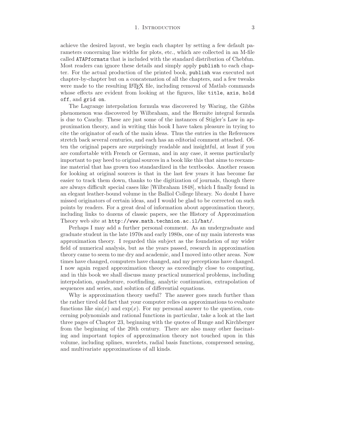achieve the desired layout, we begin each chapter by setting a few default parameters concerning line widths for plots, etc., which are collected in an M-file called ATAPformats that is included with the standard distribution of Chebfun. Most readers can ignore these details and simply apply publish to each chapter. For the actual production of the printed book, publish was executed not chapter-by-chapter but on a concatenation of all the chapters, and a few tweaks were made to the resulting LAT<sub>EX</sub> file, including removal of Matlab commands whose effects are evident from looking at the figures, like title, axis, hold off, and grid on.

The Lagrange interpolation formula was discovered by Waring, the Gibbs phenomenon was discovered by Wilbraham, and the Hermite integral formula is due to Cauchy. These are just some of the instances of Stigler's Law in approximation theory, and in writing this book I have taken pleasure in trying to cite the originator of each of the main ideas. Thus the entries in the References stretch back several centuries, and each has an editorial comment attached. Often the original papers are surprisingly readable and insightful, at least if you are comfortable with French or German, and in any case, it seems particularly important to pay heed to original sources in a book like this that aims to reexamine material that has grown too standardized in the textbooks. Another reason for looking at original sources is that in the last few years it has become far easier to track them down, thanks to the digitization of journals, though there are always difficult special cases like [Wilbraham 1848], which I finally found in an elegant leather-bound volume in the Balliol College library. No doubt I have missed originators of certain ideas, and I would be glad to be corrected on such points by readers. For a great deal of information about approximation theory, including links to dozens of classic papers, see the History of Approximation Theory web site at http://www.math.technion.ac.il/hat/.

Perhaps I may add a further personal comment. As an undergraduate and graduate student in the late 1970s and early 1980s, one of my main interests was approximation theory. I regarded this subject as the foundation of my wider field of numerical analysis, but as the years passed, research in approximation theory came to seem to me dry and academic, and I moved into other areas. Now times have changed, computers have changed, and my perceptions have changed. I now again regard approximation theory as exceedingly close to computing, and in this book we shall discuss many practical numerical problems, including interpolation, quadrature, rootfinding, analytic continuation, extrapolation of sequences and series, and solution of differential equations.

Why is approximation theory useful? The answer goes much further than the rather tired old fact that your computer relies on approximations to evaluate functions like  $sin(x)$  and  $exp(x)$ . For my personal answer to the question, concerning polynomials and rational functions in particular, take a look at the last three pages of Chapter 23, beginning with the quotes of Runge and Kirchberger from the beginning of the 20th century. There are also many other fascinating and important topics of approximation theory not touched upon in this volume, including splines, wavelets, radial basis functions, compressed sensing, and multivariate approximations of all kinds.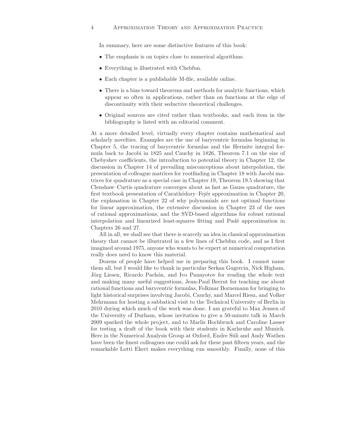#### 4 Approximation Theory and Approximation Practice

In summary, here are some distinctive features of this book:

- The emphasis is on topics close to numerical algorithms.
- Everything is illustrated with Chebfun.
- Each chapter is a publishable M-file, available online.
- There is a bias toward theorems and methods for analytic functions, which appear so often in applications, rather than on functions at the edge of discontinuity with their seductive theoretical challenges.
- Original sources are cited rather than textbooks, and each item in the bibliography is listed with an editorial comment.

At a more detailed level, virtually every chapter contains mathematical and scholarly novelties. Examples are the use of barycentric formulas beginning in Chapter 5, the tracing of barycentric formulas and the Hermite integral formula back to Jacobi in 1825 and Cauchy in 1826, Theorem 7.1 on the size of Chebyshev coefficients, the introduction to potential theory in Chapter 12, the discussion in Chapter 14 of prevailing misconceptions about interpolation, the presentation of colleague matrices for rootfinding in Chapter 18 with Jacobi matrices for quadrature as a special case in Chapter 19, Theorem 19.5 showing that Clenshaw–Curtis quadrature converges about as fast as Gauss quadrature, the first textbook presentation of Carathódory–Fejér approximation in Chapter 20, the explanation in Chapter 22 of why polynomials are not optimal functions for linear approximation, the extensive discussion in Chapter 23 of the uses of rational approximations, and the SVD-based algorithms for robust rational interpolation and linearized least-squares fitting and Padé approximation in Chapters 26 and 27.

All in all, we shall see that there is scarcely an idea in classical approximation theory that cannot be illustrated in a few lines of Chebfun code, and as I first imagined around 1975, anyone who wants to be expert at numerical computation really does need to know this material.

Dozens of people have helped me in preparing this book. I cannot name them all, but I would like to thank in particular Serkan Gugercin, Nick Higham, Jörg Liesen, Ricardo Pachón, and Ivo Panayotov for reading the whole text and making many useful suggestions, Jean-Paul Berrut for teaching me about rational functions and barycentric formulas, Folkmar Bornemann for bringing to light historical surprises involving Jacobi, Cauchy, and Marcel Riesz, and Volker Mehrmann for hosting a sabbatical visit to the Technical University of Berlin in 2010 during which much of the work was done. I am grateful to Max Jensen of the University of Durham, whose invitation to give a 50-minute talk in March 2009 sparked the whole project, and to Marlis Hochbruck and Caroline Lasser for testing a draft of the book with their students in Karlsruhe and Munich. Here in the Numerical Analysis Group at Oxford, Endre Süli and Andy Wathen have been the finest colleagues one could ask for these past fifteen years, and the remarkable Lotti Ekert makes everything run smoothly. Finally, none of this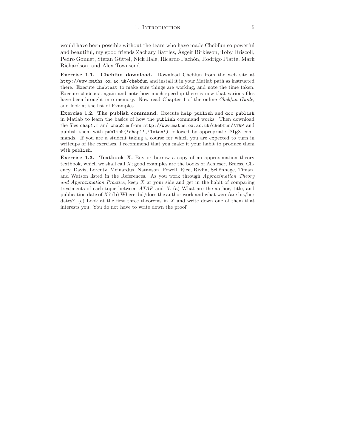would have been possible without the team who have made Chebfun so powerful and beautiful, my good friends Zachary Battles, Asgeir Birkisson, Toby Driscoll, ´ Pedro Gonnet, Stefan Güttel, Nick Hale, Ricardo Pachón, Rodrigo Platte, Mark Richardson, and Alex Townsend.

Exercise 1.1. Chebfun download. Download Chebfun from the web site at http://www.maths.ox.ac.uk/chebfun and install it in your Matlab path as instructed there. Execute chebtest to make sure things are working, and note the time taken. Execute chebtest again and note how much speedup there is now that various files have been brought into memory. Now read Chapter 1 of the online *Chebfun Guide*, and look at the list of Examples.

Exercise 1.2. The publish command. Execute help publish and doc publish in Matlab to learn the basics of how the publish command works. Then download the files chap1.m and chap2.m from http://www.maths.ox.ac.uk/chebfun/ATAP and publish them with publish('chap1','latex') followed by appropriate LATEX commands. If you are a student taking a course for which you are expected to turn in writeups of the exercises, I recommend that you make it your habit to produce them with publish.

Exercise 1.3. Textbook X. Buy or borrow a copy of an approximation theory textbook, which we shall call  $X$ ; good examples are the books of Achieser, Braess, Cheney, Davis, Lorentz, Meinardus, Natanson, Powell, Rice, Rivlin, Schönhage, Timan, and Watson listed in the References. As you work through Approximation Theory and Approximation Practice, keep X at your side and get in the habit of comparing treatments of each topic between ATAP and X. (a) What are the author, title, and publication date of  $X$ ? (b) Where did/does the author work and what were/are his/her dates? (c) Look at the first three theorems in X and write down one of them that interests you. You do not have to write down the proof.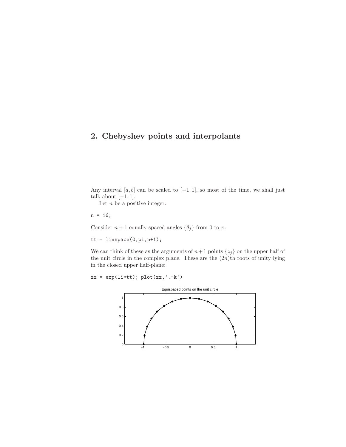# 2. Chebyshev points and interpolants

Any interval [a, b] can be scaled to  $[-1, 1]$ , so most of the time, we shall just talk about  $[-1, 1]$ .

Let  $n$  be a positive integer:

n = 16;

Consider  $n + 1$  equally spaced angles  $\{\theta_i\}$  from 0 to  $\pi$ :

tt = linspace(0,pi,n+1);

We can think of these as the arguments of  $n+1$  points  $\{z_j\}$  on the upper half of the unit circle in the complex plane. These are the  $(2n)$ <sup>th</sup> roots of unity lying in the closed upper half-plane:

 $zz = exp(1i*t); plot(zz,'.-k')$ 

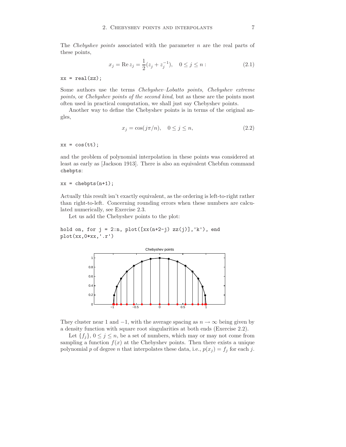The Chebyshev points associated with the parameter  $n$  are the real parts of these points,

$$
x_j = \text{Re } z_j = \frac{1}{2}(z_j + z_j^{-1}), \quad 0 \le j \le n: \tag{2.1}
$$

 $xx = real(zz)$ ;

Some authors use the terms Chebyshev–Lobatto points, Chebyshev extreme points, or Chebyshev points of the second kind, but as these are the points most often used in practical computation, we shall just say Chebyshev points.

Another way to define the Chebyshev points is in terms of the original angles,

$$
x_j = \cos(j\pi/n), \quad 0 \le j \le n,
$$
\n<sup>(2.2)</sup>

 $xx = cos(tt);$ 

and the problem of polynomial interpolation in these points was considered at least as early as [Jackson 1913]. There is also an equivalent Chebfun command chebpts:

```
xx = \text{chebpts}(n+1);
```
Actually this result isn't exactly equivalent, as the ordering is left-to-right rather than right-to-left. Concerning rounding errors when these numbers are calculated numerically, see Exercise 2.3.

Let us add the Chebyshev points to the plot:

hold on, for  $j = 2:n$ ,  $plot([xx(n+2-j)zz(j)], 'k')$ , end plot(xx,0\*xx,'.r')



They cluster near 1 and  $-1$ , with the average spacing as  $n \to \infty$  being given by a density function with square root singularities at both ends (Exercise 2.2).

Let  $\{f_i\}, 0 \leq j \leq n$ , be a set of numbers, which may or may not come from sampling a function  $f(x)$  at the Chebyshev points. Then there exists a unique polynomial p of degree n that interpolates these data, i.e.,  $p(x_j) = f_j$  for each j.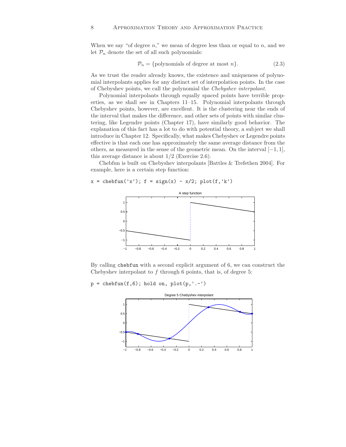When we say "of degree  $n$ ," we mean of degree less than or equal to  $n$ , and we let  $P_n$  denote the set of all such polynomials:

$$
\mathcal{P}_n = \{ \text{polynomials of degree at most } n \}. \tag{2.3}
$$

As we trust the reader already knows, the existence and uniqueness of polynomial interpolants applies for any distinct set of interpolation points. In the case of Chebyshev points, we call the polynomial the Chebyshev interpolant.

Polynomial interpolants through equally spaced points have terrible properties, as we shall see in Chapters 11–15. Polynomial interpolants through Chebyshev points, however, are excellent. It is the clustering near the ends of the interval that makes the difference, and other sets of points with similar clustering, like Legendre points (Chapter 17), have similarly good behavior. The explanation of this fact has a lot to do with potential theory, a subject we shall introduce in Chapter 12. Specifically, what makes Chebyshev or Legendre points effective is that each one has approximately the same average distance from the others, as measured in the sense of the geometric mean. On the interval  $[-1, 1]$ , this average distance is about 1/2 (Exercise 2.6).

Chebfun is built on Chebyshev interpolants [Battles & Trefethen 2004]. For example, here is a certain step function:

 $x = \text{chebfun}('x'); f = \text{sign}(x) - x/2; \text{plot}(f,'k')$ 



By calling chebfun with a second explicit argument of 6, we can construct the Chebyshev interpolant to  $f$  through 6 points, that is, of degree 5:

 $p = \text{chebfun}(f, 6)$ ; hold on,  $plot(p, '.-')$ 

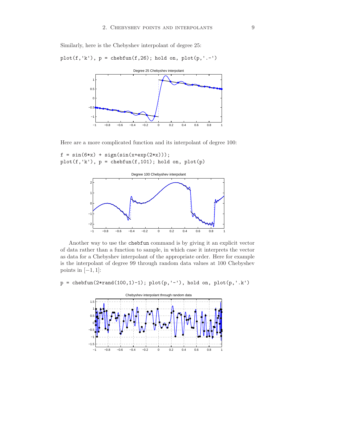Similarly, here is the Chebyshev interpolant of degree 25:

 $plot(f,'k')$ ,  $p = chebfun(f,26)$ ; hold on,  $plot(p,'.-')$ 



Here are a more complicated function and its interpolant of degree 100:

 $f = sin(6*x) + sign(sin(x+exp(2*x)))$ ;  $plot(f,'k'), p = chebfun(f,101); hold on, plot(p)$ 



Another way to use the chebfun command is by giving it an explicit vector of data rather than a function to sample, in which case it interprets the vector as data for a Chebyshev interpolant of the appropriate order. Here for example is the interpolant of degree 99 through random data values at 100 Chebyshev points in  $[-1, 1]$ :

 $p = \text{chebfun}(2*\text{rand}(100,1)-1); \text{plot}(p,'-'), \text{ hold on, plot}(p,'.k')$ 

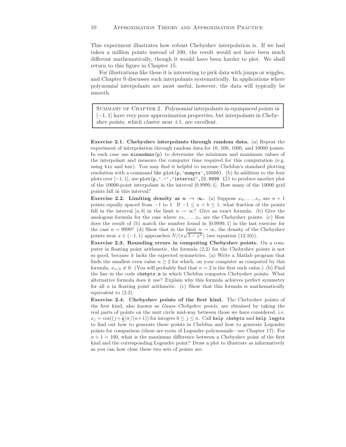This experiment illustrates how robust Chebyshev interpolation is. If we had taken a million points instead of 100, the result would not have been much different mathematically, though it would have been harder to plot. We shall return to this figure in Chapter 15.

For illustrations like these it is interesting to pick data with jumps or wiggles, and Chapter 9 discusses such interpolants systematically. In applications where polynomial interpolants are most useful, however, the data will typically be smooth.

SUMMARY OF CHAPTER 2. Polynomial interpolants in equispaced points in [−1, 1] have very poor approximation properties, but interpolants in Chebyshey points, which cluster near  $\pm 1$ , are excellent.

Exercise 2.1. Chebyshev interpolants through random data. (a) Repeat the experiment of interpolation through random data for 10, 100, 1000, and 10000 points. In each case use minandmax(p) to determine the minimum and maximum values of the interpolant and measure the computer time required for this computation (e.g. using tic and toc). You may find it helpful to increase Chebfun's standard plotting resolution with a command like plot(p,'numpts',10000). (b) In addition to the four plots over  $[-1, 1]$ , use plot $(p, '.-', 'interval', [0.9999 1])$  to produce another plot of the 10000-point interpolant in the interval [0.9999, 1]. How many of the 10000 grid points fall in this interval?

Exercise 2.2. Limiting density as  $n \to \infty$ . (a) Suppose  $x_0, \ldots, x_n$  are  $n+1$ points equally spaced from  $-1$  to 1. If  $-1 \le a < b \le 1$ , what fraction of the points fall in the interval [a, b] in the limit  $n \to \infty$ ? Give an exact formula. (b) Give the analogous formula for the case where  $x_0, \ldots, x_n$  are the Chebyshev points. (c) How does the result of (b) match the number found in [0.9999, 1] in the last exercise for the case  $n = 9999$ ? (d) Show that in the limit  $n \to \infty$ , the density of the Chebyshev points near  $x \in (-1, 1)$  approaches  $N/(\pi\sqrt{1-x^2})$  (see equation (12.10)).

Exercise 2.3. Rounding errors in computing Chebyshev points. On a computer in floating point arithmetic, the formula (2.2) for the Chebyshev points is not so good, because it lacks the expected symmetries. (a) Write a Matlab program that finds the smallest even value  $n \geq 2$  for which, on your computer as computed by this formula,  $x_{n/2} \neq 0$ . (You will probably find that  $n = 2$  is the first such value.) (b) Find the line in the code chebpts.m in which Chebfun computes Chebyshev points. What alternative formula does it use? Explain why this formula achieves perfect symmetry for all  $n$  in floating point arithmetic. (c) Show that this formula is mathematically equivalent to (2.2).

Exercise 2.4. Chebyshev points of the first kind. The Chebyshev points of the first kind, also known as Gauss–Chebyshev points, are obtained by taking the real parts of points on the unit circle mid-way between those we have considered, i.e.  $x_j = \cos((j + \frac{1}{2})\pi/(n+1))$  for integers  $0 \le j \le n$ . Call help chebpts and help legpts to find out how to generate these points in Chebfun and how to generate Legendre points for comparison (these are roots of Legendre polynomials—see Chapter 17). For  $n + 1 = 100$ , what is the maximum difference between a Chebyshev point of the first kind and the corresponding Legendre point? Draw a plot to illustrate as informatively as you can how close these two sets of points are.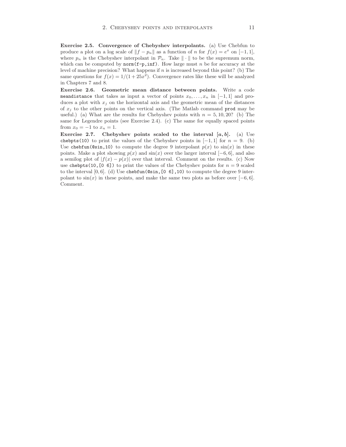Exercise 2.5. Convergence of Chebyshev interpolants. (a) Use Chebfun to produce a plot on a log scale of  $||f - p_n||$  as a function of n for  $f(x) = e^x$  on  $[-1, 1]$ , where  $p_n$  is the Chebyshev interpolant in  $\mathcal{P}_n$ . Take  $\|\cdot\|$  to be the supremum norm, which can be computed by  $norm(f-p, inf)$ . How large must n be for accuracy at the level of machine precision? What happens if  $n$  is increased beyond this point? (b) The same questions for  $f(x) = 1/(1 + 25x^2)$ . Convergence rates like these will be analyzed in Chapters 7 and 8.

Exercise 2.6. Geometric mean distance between points. Write a code meandistance that takes as input a vector of points  $x_0, \ldots, x_n$  in [−1, 1] and produces a plot with  $x_i$  on the horizontal axis and the geometric mean of the distances of  $x_i$  to the other points on the vertical axis. (The Matlab command prod may be useful.) (a) What are the results for Chebyshev points with  $n = 5, 10, 20$ ? (b) The same for Legendre points (see Exercise 2.4). (c) The same for equally spaced points from  $x_0 = -1$  to  $x_n = 1$ .

Exercise 2.7. Chebyshev points scaled to the interval  $[a, b]$ . (a) Use chebpts(10) to print the values of the Chebyshev points in  $[-1, 1]$  for  $n = 9$ . (b) Use chebfun(@sin,10) to compute the degree 9 interpolant  $p(x)$  to  $sin(x)$  in these points. Make a plot showing  $p(x)$  and  $sin(x)$  over the larger interval [−6, 6], and also a semilog plot of  $|f(x) - p(x)|$  over that interval. Comment on the results. (c) Now use chebpts(10, [0 6]) to print the values of the Chebyshev points for  $n = 9$  scaled to the interval  $[0, 6]$ . (d) Use chebfun( $\mathfrak{lsin}$ ,  $[0, 6]$ , 10) to compute the degree 9 interpolant to  $\sin(x)$  in these points, and make the same two plots as before over  $[-6, 6]$ . Comment.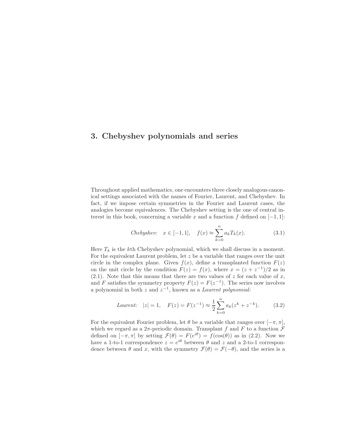# 3. Chebyshev polynomials and series

Throughout applied mathematics, one encounters three closely analogous canonical settings associated with the names of Fourier, Laurent, and Chebyshev. In fact, if we impose certain symmetries in the Fourier and Laurent cases, the analogies become equivalences. The Chebyshev setting is the one of central interest in this book, concerning a variable x and a function f defined on  $[-1, 1]$ :

Chebyshev: 
$$
x \in [-1, 1]
$$
,  $f(x) \approx \sum_{k=0}^{n} a_k T_k(x)$ . (3.1)

Here  $T_k$  is the kth Chebyshev polynomial, which we shall discuss in a moment. For the equivalent Laurent problem, let z be a variable that ranges over the unit circle in the complex plane. Given  $f(x)$ , define a transplanted function  $F(z)$ on the unit circle by the condition  $F(z) = f(x)$ , where  $x = (z + z^{-1})/2$  as in  $(2.1)$ . Note that this means that there are two values of z for each value of x, and F satisfies the symmetry property  $F(z) = F(z^{-1})$ . The series now involves a polynomial in both  $z$  and  $z^{-1}$ , known as a *Laurent polynomial*:

*Laurent:* 
$$
|z| = 1
$$
,  $F(z) = F(z^{-1}) \approx \frac{1}{2} \sum_{k=0}^{n} a_k (z^k + z^{-k})$ . (3.2)

For the equivalent Fourier problem, let  $\theta$  be a variable that ranges over  $[-\pi, \pi]$ , which we regard as a  $2\pi$ -periodic domain. Transplant f and F to a function  $\mathcal F$ defined on  $[-\pi, \pi]$  by setting  $\mathcal{F}(\theta) = F(e^{i\theta}) = f(\cos(\theta))$  as in (2.2). Now we have a 1-to-1 correspondence  $z = e^{i\theta}$  between  $\theta$  and z and a 2-to-1 correspondence between  $\theta$  and x, with the symmetry  $\mathcal{F}(\theta) = \mathcal{F}(-\theta)$ , and the series is a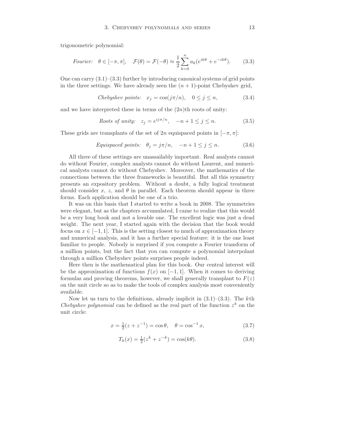trigonometric polynomial:

Fourier: 
$$
\theta \in [-\pi, \pi]
$$
,  $\mathcal{F}(\theta) = \mathcal{F}(-\theta) \approx \frac{1}{2} \sum_{k=0}^{n} a_k (e^{ik\theta} + e^{-ik\theta}).$  (3.3)

One can carry  $(3.1)$ – $(3.3)$  further by introducing canonical systems of grid points in the three settings. We have already seen the  $(n + 1)$ -point Chebyshev grid,

Chebyshev points: 
$$
x_j = \cos(j\pi/n)
$$
,  $0 \le j \le n$ , (3.4)

and we have interpreted these in terms of the  $(2n)$ <sup>th</sup> roots of unity:

*Roots of unity:* 
$$
z_j = e^{ij\pi/n}
$$
,  $-n+1 \le j \le n$ . (3.5)

These grids are transplants of the set of 2n equispaced points in  $[-\pi, \pi]$ :

Equispaced points: 
$$
\theta_j = j\pi/n, \quad -n+1 \leq j \leq n.
$$
 (3.6)

All three of these settings are unassailably important. Real analysts cannot do without Fourier, complex analysts cannot do without Laurent, and numerical analysts cannot do without Chebyshev. Moreover, the mathematics of the connections between the three frameworks is beautiful. But all this symmetry presents an expository problem. Without a doubt, a fully logical treatment should consider x, z, and  $\theta$  in parallel. Each theorem should appear in three forms. Each application should be one of a trio.

It was on this basis that I started to write a book in 2008. The symmetries were elegant, but as the chapters accumulated, I came to realize that this would be a very long book and not a lovable one. The excellent logic was just a dead weight. The next year, I started again with the decision that the book would focus on  $x \in [-1, 1]$ . This is the setting closest to much of approximation theory and numerical analysis, and it has a further special feature: it is the one least familiar to people. Nobody is surprised if you compute a Fourier transform of a million points, but the fact that you can compute a polynomial interpolant through a million Chebyshev points surprises people indeed.

Here then is the mathematical plan for this book. Our central interest will be the approximation of functions  $f(x)$  on [−1, 1]. When it comes to deriving formulas and proving theorems, however, we shall generally transplant to  $F(z)$ on the unit circle so as to make the tools of complex analysis most conveniently available.

Now let us turn to the definitions, already implicit in  $(3.1)$ – $(3.3)$ . The kth Chebyshev polynomial can be defined as the real part of the function  $z^k$  on the unit circle:

$$
x = \frac{1}{2}(z + z^{-1}) = \cos \theta, \quad \theta = \cos^{-1} x,\tag{3.7}
$$

$$
T_k(x) = \frac{1}{2}(z^k + z^{-k}) = \cos(k\theta). \tag{3.8}
$$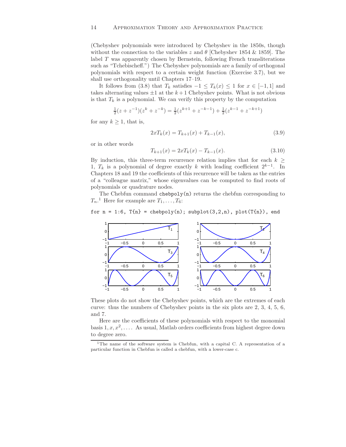(Chebyshev polynomials were introduced by Chebyshev in the 1850s, though without the connection to the variables z and  $\theta$  [Chebyshev 1854 & 1859]. The label T was apparently chosen by Bernstein, following French transliterations such as "Tchebischeff.") The Chebyshev polynomials are a family of orthogonal polynomials with respect to a certain weight function (Exercise 3.7), but we shall use orthogonality until Chapters 17–19.

It follows from (3.8) that  $T_k$  satisfies  $-1 \leq T_k(x) \leq 1$  for  $x \in [-1,1]$  and takes alternating values  $\pm 1$  at the  $k+1$  Chebyshev points. What is not obvious is that  $T_k$  is a polynomial. We can verify this property by the computation

$$
\frac{1}{2}(z+z^{-1})(z^k+z^{-k}) = \frac{1}{2}(z^{k+1}+z^{-k-1}) + \frac{1}{2}(z^{k-1}+z^{-k+1})
$$

for any  $k \geq 1$ , that is,

$$
2xT_k(x) = T_{k+1}(x) + T_{k-1}(x),
$$
\n(3.9)

or in other words

$$
T_{k+1}(x) = 2xT_k(x) - T_{k-1}(x).
$$
\n(3.10)

By induction, this three-term recurrence relation implies that for each  $k \geq$ 1,  $T_k$  is a polynomial of degree exactly k with leading coefficient  $2^{k-1}$ . In Chapters 18 and 19 the coefficients of this recurrence will be taken as the entries of a "colleague matrix," whose eigenvalues can be computed to find roots of polynomials or quadrature nodes.

The Chebfun command chebpoly $(n)$  returns the chebfun corresponding to  $T_n$ .<sup>1</sup> Here for example are  $T_1, \ldots, T_6$ :

## for  $n = 1:6$ ,  $T{n} = \text{chebpoly}(n)$ ;  $\text{subplot}(3,2,n)$ ,  $\text{plot}(T{n})$ , end



These plots do not show the Chebyshev points, which are the extremes of each curve: thus the numbers of Chebyshev points in the six plots are 2, 3, 4, 5, 6, and 7.

Here are the coefficients of these polynomials with respect to the monomial basis  $1, x, x^2, \ldots$ . As usual, Matlab orders coefficients from highest degree down to degree zero.

<sup>&</sup>lt;sup>1</sup>The name of the software system is Chebfun, with a capital C. A representation of a particular function in Chebfun is called a chebfun, with a lower-case c.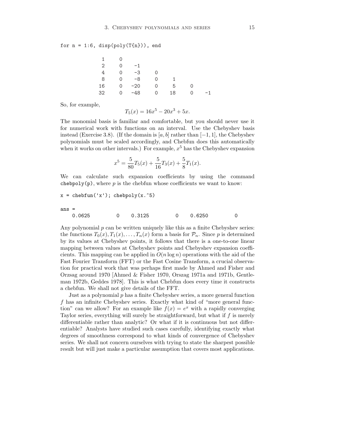for  $n = 1:6$ ,  $disp(poly(T{n})))$ , end

| $\mathbf{1}$ |          |       |   |    |          |      |
|--------------|----------|-------|---|----|----------|------|
| $\mathbf{2}$ | $\Omega$ | $-1$  |   |    |          |      |
| 4            | $\Omega$ | $-3$  | 0 |    |          |      |
| 8            | 0        | $-8$  | 0 | 1  |          |      |
| 16 —         | $\Omega$ | $-20$ | 0 | 5  | $\Omega$ |      |
| 32           | $\Omega$ | $-48$ | 0 | 18 | $\Omega$ | $-1$ |

So, for example,

$$
T_5(x) = 16x^5 - 20x^3 + 5x.
$$

The monomial basis is familiar and comfortable, but you should never use it for numerical work with functions on an interval. Use the Chebyshev basis instead (Exercise 3.8). (If the domain is [a, b] rather than  $[-1, 1]$ , the Chebyshev polynomials must be scaled accordingly, and Chebfun does this automatically when it works on other intervals.) For example,  $x^5$  has the Chebyshev expansion

$$
x^{5} = \frac{5}{80}T_{5}(x) + \frac{5}{16}T_{3}(x) + \frac{5}{8}T_{1}(x).
$$

We can calculate such expansion coefficients by using the command chebpoly(p), where  $p$  is the chebfun whose coefficients we want to know:

 $x = \text{chebfun}('x'); \text{chebpoly}(x.^5)$ 

ans =

$$
0.0625 \t\t 0 \t\t 0.3125 \t\t 0 \t\t 0.6250 \t\t 0
$$

Any polynomial  $p$  can be written uniquely like this as a finite Chebyshev series: the functions  $T_0(x), T_1(x), \ldots, T_n(x)$  form a basis for  $\mathcal{P}_n$ . Since p is determined by its values at Chebyshev points, it follows that there is a one-to-one linear mapping between values at Chebyshev points and Chebyshev expansion coefficients. This mapping can be applied in  $O(n \log n)$  operations with the aid of the Fast Fourier Transform (FFT) or the Fast Cosine Transform, a crucial observation for practical work that was perhaps first made by Ahmed and Fisher and Orzsag around 1970 [Ahmed & Fisher 1970, Orszag 1971a and 1971b, Gentleman 1972b, Geddes 1978]. This is what Chebfun does every time it constructs a chebfun. We shall not give details of the FFT.

Just as a polynomial  $p$  has a finite Chebyshev series, a more general function f has an infinite Chebyshev series. Exactly what kind of "more general function" can we allow? For an example like  $f(x) = e^x$  with a rapidly converging Taylor series, everything will surely be straightforward, but what if  $f$  is merely differentiable rather than analytic? Or what if it is continuous but not differentiable? Analysts have studied such cases carefully, identifying exactly what degrees of smoothness correspond to what kinds of convergence of Chebyshev series. We shall not concern ourselves with trying to state the sharpest possible result but will just make a particular assumption that covers most applications.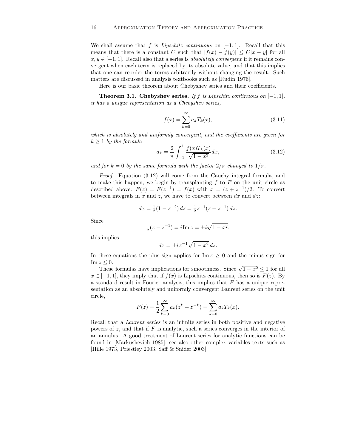We shall assume that f is Lipschitz continuous on  $[-1, 1]$ . Recall that this means that there is a constant C such that  $|f(x) - f(y)| \leq C|x - y|$  for all  $x, y \in [-1, 1]$ . Recall also that a series is *absolutely convergent* if it remains convergent when each term is replaced by its absolute value, and that this implies that one can reorder the terms arbitrarily without changing the result. Such matters are discussed in analysis textbooks such as [Rudin 1976].

Here is our basic theorem about Chebyshev series and their coefficients.

Theorem 3.1. Chebyshev series. If f is Lipschitz continuous on  $[-1, 1]$ , it has a unique representation as a Chebyshev series,

$$
f(x) = \sum_{k=0}^{\infty} a_k T_k(x),
$$
 (3.11)

which is absolutely and uniformly convergent, and the coefficients are given for  $k > 1$  by the formula

$$
a_k = \frac{2}{\pi} \int_{-1}^{1} \frac{f(x)T_k(x)}{\sqrt{1 - x^2}} dx,
$$
\n(3.12)

and for  $k = 0$  by the same formula with the factor  $2/\pi$  changed to  $1/\pi$ .

Proof. Equation (3.12) will come from the Cauchy integral formula, and to make this happen, we begin by transplanting  $f$  to  $F$  on the unit circle as described above:  $F(z) = F(z^{-1}) = f(x)$  with  $x = (z + z^{-1})/2$ . To convert between integrals in x and z, we have to convert between dx and dz:

$$
dx = \frac{1}{2}(1 - z^{-2}) dz = \frac{1}{2}z^{-1}(z - z^{-1}) dz.
$$

Since

$$
\frac{1}{2}(z - z^{-1}) = i \operatorname{Im} z = \pm i \sqrt{1 - x^2},
$$

this implies

$$
dx = \pm iz^{-1}\sqrt{1 - x^2} dz.
$$

In these equations the plus sign applies for  $\text{Im } z \geq 0$  and the minus sign for  $\mathop{\mathrm{Im}} z \leq 0.$ 

These formulas have implications for smoothness. Since  $\sqrt{1-x^2} \le 1$  for all  $x \in [-1, 1]$ , they imply that if  $f(x)$  is Lipschitz continuous, then so is  $F(z)$ . By a standard result in Fourier analysis, this implies that F has a unique representation as an absolutely and uniformly convergent Laurent series on the unit circle,

$$
F(z) = \frac{1}{2} \sum_{k=0}^{\infty} a_k (z^k + z^{-k}) = \sum_{k=0}^{\infty} a_k T_k(x).
$$

Recall that a Laurent series is an infinite series in both positive and negative powers of  $z$ , and that if  $F$  is analytic, such a series converges in the interior of an annulus. A good treatment of Laurent series for analytic functions can be found in [Markushevich 1985]; see also other complex variables texts such as [Hille 1973, Priestley 2003, Saff & Snider 2003].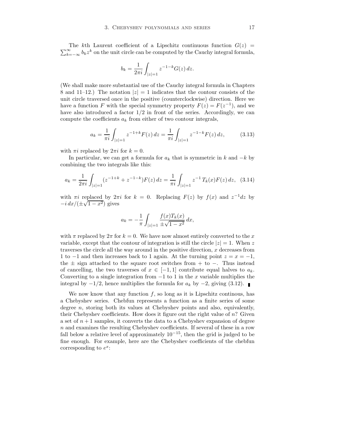$\sum_{k=-\infty}^{\infty} b_k z^k$  on the unit circle can be computed by the Cauchy integral formula, The kth Laurent coefficient of a Lipschitz continuous function  $G(z)$ 

$$
b_k = \frac{1}{2\pi i} \int_{|z|=1} z^{-1-k} G(z) \, dz.
$$

(We shall make more substantial use of the Cauchy integral formula in Chapters 8 and 11–12.) The notation  $|z|=1$  indicates that the contour consists of the unit circle traversed once in the positive (counterclockwise) direction. Here we have a function F with the special symmetry property  $F(z) = F(z^{-1})$ , and we have also introduced a factor  $1/2$  in front of the series. Accordingly, we can compute the coefficients  $a_k$  from either of two contour integrals,

$$
a_k = \frac{1}{\pi i} \int_{|z|=1} z^{-1+k} F(z) \, dz = \frac{1}{\pi i} \int_{|z|=1} z^{-1-k} F(z) \, dz, \tag{3.13}
$$

with  $\pi i$  replaced by  $2\pi i$  for  $k = 0$ .

In particular, we can get a formula for  $a_k$  that is symmetric in k and  $-k$  by combining the two integrals like this:

$$
a_k = \frac{1}{2\pi i} \int_{|z|=1} (z^{-1+k} + z^{-1-k}) F(z) \, dz = \frac{1}{\pi i} \int_{|z|=1} z^{-1} \, T_k(x) F(z) \, dz, \tag{3.14}
$$

with  $\pi i$  replaced by  $2\pi i$  for  $k = 0$ . Replacing  $F(z)$  by  $f(x)$  and  $z^{-1}dz$  by  $-i dx/(\pm \sqrt{1-x^2})$  gives

$$
a_k = -\frac{1}{\pi} \int_{|z|=1} \frac{f(x)T_k(x)}{\pm \sqrt{1-x^2}} dx,
$$

with  $\pi$  replaced by  $2\pi$  for  $k = 0$ . We have now almost entirely converted to the x variable, except that the contour of integration is still the circle  $|z| = 1$ . When z traverses the circle all the way around in the positive direction,  $x$  decreases from 1 to  $-1$  and then increases back to 1 again. At the turning point  $z = x = -1$ , the  $\pm$  sign attached to the square root switches from + to −. Thus instead of cancelling, the two traverses of  $x \in [-1,1]$  contribute equal halves to  $a_k$ . Converting to a single integration from  $-1$  to 1 in the x variable multiplies the integral by  $-1/2$ , hence multiplies the formula for  $a_k$  by  $-2$ , giving (3.12). ■

We now know that any function  $f$ , so long as it is Lipschitz continuous, has a Chebyshev series. Chebfun represents a function as a finite series of some degree  $n$ , storing both its values at Chebyshev points and also, equivalently, their Chebyshev coefficients. How does it figure out the right value of  $n$ ? Given a set of  $n+1$  samples, it converts the data to a Chebyshev expansion of degree n and examines the resulting Chebyshev coefficients. If several of these in a row fall below a relative level of approximately  $10^{-15}$ , then the grid is judged to be fine enough. For example, here are the Chebyshev coefficients of the chebfun corresponding to  $e^x$ :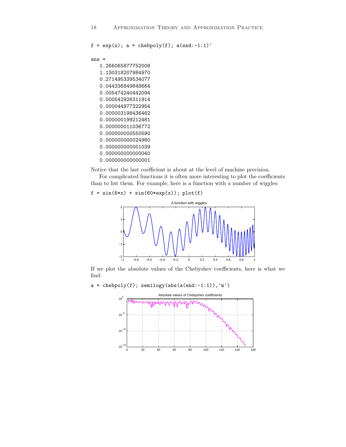```
f = exp(x); a = chebpoly(f); a(end:-1:1)'
ans =
  1.266065877752008
   1.130318207984970
   0.271495339534077
  0.044336849848664
   0.005474240442094
  0.000542926311914
  0.000044977322954
  0.000003198436462
  0.000000199212481
   0.000000011036772
  0.000000000550590
   0.000000000024980
  0.000000000001039
   0.000000000000040
   0.000000000000001
```
Notice that the last coefficient is about at the level of machine precision.

For complicated functions it is often more interesting to plot the coefficients than to list them. For example, here is a function with a number of wiggles:

## $f = sin(6*x) + sin(60*exp(x)); plot(f)$



If we plot the absolute values of the Chebyshev coefficients, here is what we find:

```
a = \text{chebpoly}(f); semilogy(abs(a(end:-1:1)),'m')
```
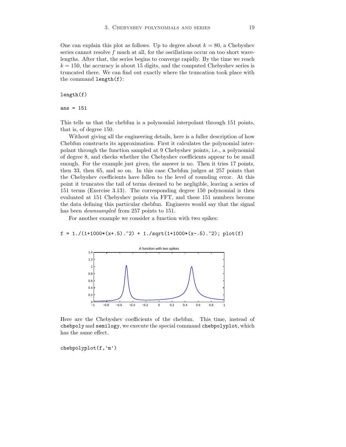One can explain this plot as follows. Up to degree about  $k = 80$ , a Chebyshev series cannot resolve  $f$  much at all, for the oscillations occur on too short wavelengths. After that, the series begins to converge rapidly. By the time we reach  $k = 150$ , the accuracy is about 15 digits, and the computed Chebyshev series is truncated there. We can find out exactly where the truncation took place with the command length(f):

length(f)

ans  $= 151$ 

This tells us that the chebfun is a polynomial interpolant through 151 points, that is, of degree 150.

Without giving all the engineering details, here is a fuller description of how Chebfun constructs its approximation. First it calculates the polynomial interpolant through the function sampled at 9 Chebyshev points, i.e., a polynomial of degree 8, and checks whether the Chebyshev coefficients appear to be small enough. For the example just given, the answer is no. Then it tries 17 points, then 33, then 65, and so on. In this case Chebfun judges at 257 points that the Chebyshev coefficients have fallen to the level of rounding error. At this point it truncates the tail of terms deemed to be negligible, leaving a series of 151 terms (Exercise 3.13). The corresponding degree 150 polynomial is then evaluated at 151 Chebyshev points via FFT, and these 151 numbers become the data defining this particular chebfun. Engineers would say that the signal has been *downsampled* from 257 points to 151.

For another example we consider a function with two spikes:

#### $f = 1./(1+1000*(x+.5).^2) + 1./\sqrt{3}$



Here are the Chebyshev coefficients of the chebfun. This time, instead of chebpoly and semilogy, we execute the special command chebpolyplot, which has the same effect.

chebpolyplot(f,'m')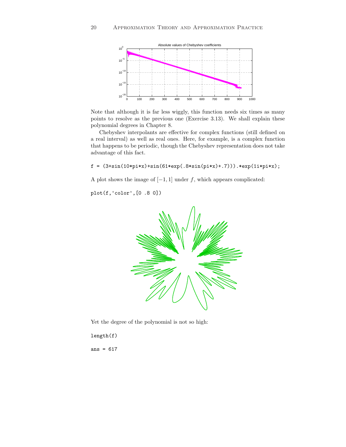

Note that although it is far less wiggly, this function needs six times as many points to resolve as the previous one (Exercise 3.13). We shall explain these polynomial degrees in Chapter 8.

Chebyshev interpolants are effective for complex functions (still defined on a real interval) as well as real ones. Here, for example, is a complex function that happens to be periodic, though the Chebyshev representation does not take advantage of this fact.

```
f = (3+sin(10*pi*x) + sin(61*exp(.8*sin(pix)+.7))).*exp(1ixpix);
```
A plot shows the image of  $[-1, 1]$  under f, which appears complicated:

```
plot(f,'color',[0 .8 0])
```


Yet the degree of the polynomial is not so high:

length(f)

ans  $= 617$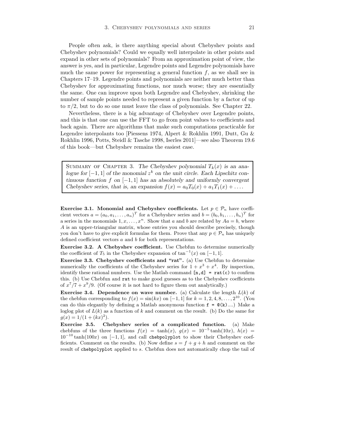People often ask, is there anything special about Chebyshev points and Chebyshev polynomials? Could we equally well interpolate in other points and expand in other sets of polynomials? From an approximation point of view, the answer is yes, and in particular, Legendre points and Legendre polynomials have much the same power for representing a general function  $f$ , as we shall see in Chapters 17–19. Legendre points and polynomials are neither much better than Chebyshev for approximating functions, nor much worse; they are essentially the same. One can improve upon both Legendre and Chebyshev, shrinking the number of sample points needed to represent a given function by a factor of up to  $\pi/2$ , but to do so one must leave the class of polynomials. See Chapter 22.

Nevertheless, there is a big advantage of Chebyshev over Legendre points, and this is that one can use the FFT to go from point values to coefficients and back again. There are algorithms that make such computations practicable for Legendre interpolants too [Piessens 1974, Alpert & Rokhlin 1991, Dutt, Gu & Rokhlin 1996, Potts, Steidl & Tasche 1998, Iserles 2011]—see also Theorem 19.6 of this book—but Chebyshev remains the easiest case.

SUMMARY OF CHAPTER 3. The Chebyshev polynomial  $T_k(x)$  is an analogue for  $[-1, 1]$  of the monomial  $z^k$  on the unit circle. Each Lipschitz continuous function f on  $[-1, 1]$  has an absolutely and uniformly convergent Chebyshev series, that is, an expansion  $f(x) = a_0T_0(x) + a_1T_1(x) + \ldots$ 

Exercise 3.1. Monomial and Chebyshev coefficients. Let  $p \in \mathcal{P}_n$  have coefficient vectors  $a = (a_0, a_1, \ldots, a_n)^T$  for a Chebyshev series and  $b = (b_0, b_1, \ldots, b_n)^T$  for a series in the monomials  $1, x, ..., x<sup>n</sup>$ . Show that a and b are related by  $Aa = b$ , where A is an upper-triangular matrix, whose entries you should describe precisely, though you don't have to give explicit formulas for them. Prove that any  $p \in \mathcal{P}_n$  has uniquely defined coefficient vectors a and b for both representations.

Exercise 3.2. A Chebyshev coefficient. Use Chebfun to determine numerically the coefficient of  $T_5$  in the Chebyshev expansion of  $\tan^{-1}(x)$  on  $[-1, 1]$ .

Exercise 3.3. Chebyshev coefficients and "rat". (a) Use Chebfun to determine numerically the coefficients of the Chebyshev series for  $1 + x^3 + x^4$ . By inspection, identify these rational numbers. Use the Matlab command  $[n,d] = rat(c)$  to confirm this. (b) Use Chebfun and rat to make good guesses as to the Chebyshev coefficients of  $x^7/7 + x^9/9$ . (Of course it is not hard to figure them out analytically.)

**Exercise 3.4. Dependence on wave number.** (a) Calculate the length  $L(k)$  of the chebfun corresponding to  $f(x) = \sin(kx)$  on [−1, 1] for  $k = 1, 2, 4, 8, ..., 2^{10}$ . (You can do this elegantly by defining a Matlab anonymous function  $f = \mathcal{Q}(k)$ ....) Make a loglog plot of  $L(k)$  as a function of k and comment on the result. (b) Do the same for  $g(x) = 1/(1 + (kx)^2).$ 

Exercise 3.5. Chebyshev series of a complicated function. (a) Make chebfuns of the three functions  $f(x) = \tanh(x)$ ,  $g(x) = 10^{-5} \tanh(10x)$ ,  $h(x) =$  $10^{-10}$  tanh(100x) on [-1, 1], and call chebpolyplot to show their Chebyshev coefficients. Comment on the results. (b) Now define  $s = f + g + h$  and comment on the result of chebpolyplot applied to s. Chebfun does not automatically chop the tail of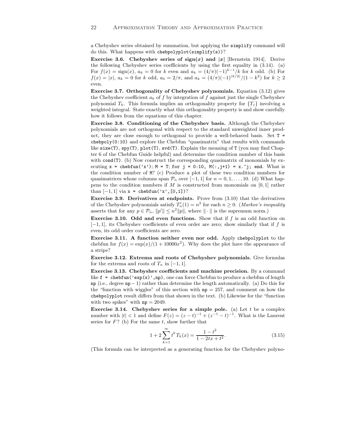a Chebyshev series obtained by summation, but applying the simplify command will do this. What happens with chebpolyplot(simplify(s))?

Exercise 3.6. Chebyshev series of sign(x) and |x| [Bernstein 1914]. Derive the following Chebyshev series coefficients by using the first equality in (3.14). (a) For  $f(x) = sign(x)$ ,  $a_k = 0$  for k even and  $a_k = (4/\pi)(-1)^{k-1}/k$  for k odd. (b) For  $f(x) = |x|, a_k = 0$  for k odd,  $a_0 = 2/\pi$ , and  $a_k = (4/\pi)(-1)^{(k/2)}/(1-k^2)$  for  $k \ge 2$ even.

Exercise 3.7. Orthogonality of Chebyshev polynomials. Equation (3.12) gives the Chebyshev coefficient  $a_k$  of f by integration of f against just the single Chebyshev polynomial  $T_k$ . This formula implies an orthogonality property for  $\{T_i\}$  involving a weighted integral. State exactly what this orthogonality property is and show carefully how it follows from the equations of this chapter.

Exercise 3.8. Conditioning of the Chebyshev basis. Although the Chebyshev polynomials are not orthogonal with respect to the standard unweighted inner product, they are close enough to orthogonal to provide a well-behaved basis. Set  $T =$  $chebpoly(0:10)$  and explore the Chebfun "quasimatrix" that results with commands like size(T), spy(T), plot(T), svd(T). Explain the meaning of T (you may find Chapter 6 of the Chebfun Guide helpful) and determine the condition number of this basis with cond(T). (b) Now construct the corresponding quasimatrix of monomials by executing  $x = \text{chebfun}'(x')$ ;  $M = T$ ; for  $j = 0:10$ ,  $M(:,j+1) = x$ . j; end. What is the condition number of M? (c) Produce a plot of these two condition numbers for quasimatrices whose columns span  $\mathcal{P}_n$  over  $[-1, 1]$  for  $n = 0, 1, \ldots, 10$ . (d) What happens to the condition numbers if  $M$  is constructed from monomials on [0, 1] rather than  $[-1, 1]$  via  $x =$  chebfun('x',[0,1])?

Exercise 3.9. Derivatives at endpoints. Prove from (3.10) that the derivatives of the Chebyshev polynomials satisfy  $T'_n(1) = n^2$  for each  $n \geq 0$ . (Markov's inequality asserts that for any  $p \in \mathcal{P}_n$ ,  $||p'|| \leq n^2 ||p||$ , where  $|| \cdot ||$  is the supremum norm.)

**Exercise 3.10.** Odd and even functions. Show that if  $f$  is an odd function on  $[-1, 1]$ , its Chebyshev coefficients of even order are zero; show similarly that if f is even, its odd order coefficients are zero.

Exercise 3.11. A function neither even nor odd. Apply chebpolyplot to the chebfun for  $f(x) = \exp(x)/(1 + 10000x^2)$ . Why does the plot have the appearance of a stripe?

Exercise 3.12. Extrema and roots of Chebyshev polynomials. Give formulas for the extrema and roots of  $T_n$  in  $[-1, 1]$ .

Exercise 3.13. Chebyshev coefficients and machine precision. By a command like  $f = \text{chebfun}('exp(x)', np)$ , one can force Chebfun to produce a chebfun of length np (i.e., degree np−1) rather than determine the length automatically. (a) Do this for the "function with wiggles" of this section with  $np = 257$ , and comment on how the chebpolyplot result differs from that shown in the text. (b) Likewise for the "function with two spikes" with  $np = 2049$ .

Exercise 3.14. Chebyshev series for a simple pole. (a) Let  $t$  be a complex number with  $|t| < 1$  and define  $F(z) = (z - t)^{-1} + (z^{-1} - t)^{-1}$ . What is the Laurent series for  $F$ ? (b) For the same t, show further that

$$
1 + 2\sum_{k=1}^{\infty} t^k T_k(x) = \frac{1 - t^2}{1 - 2tx + t^2}.
$$
\n(3.15)

(This formula can be interpreted as a generating function for the Chebyshev polyno-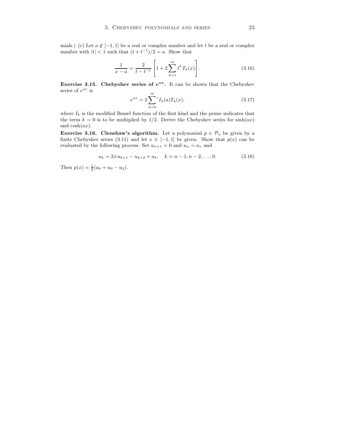mials.) (c) Let  $a \notin [-1, 1]$  be a real or complex number and let t be a real or complex number with  $|t| < 1$  such that  $(t + t^{-1})/2 = a$ . Show that

$$
\frac{1}{x-a} = \frac{2}{t-t^{-1}} \left[ 1 + 2 \sum_{k=1}^{\infty} t^k T_k(x) \right].
$$
 (3.16)

Exercise 3.15. Chebyshev series of  $e^{ax}$ . It can be shown that the Chebyshev series of  $e^{ax}$  is

$$
e^{ax} = 2\sum_{k=0}^{\infty} {}'I_k(a)T_k(x), \qquad (3.17)
$$

where  $I_k$  is the modified Bessel function of the first kind and the prime indicates that the term  $k = 0$  is to be multiplied by 1/2. Derive the Chebyshev series for  $sinh(ax)$ and  $\cosh(ax)$ .

**Exercise 3.16. Clenshaw's algorithm.** Let a polynomial  $p \in \mathcal{P}_n$  be given by a finite Chebyshev series (3.11) and let  $x \in [-1,1]$  be given. Show that  $p(x)$  can be evaluated by the following process. Set  $u_{n+1} = 0$  and  $u_n = a_n$  and

$$
u_k = 2xu_{k+1} - u_{k+2} + a_k, \quad k = n-1, n-2, \dots, 0.
$$
 (3.18)

Then  $p(x) = \frac{1}{2}(a_0 + u_0 - u_2)$ .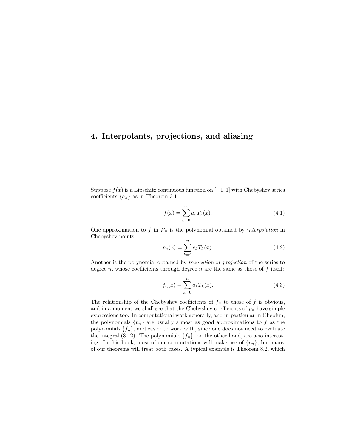# 4. Interpolants, projections, and aliasing

Suppose  $f(x)$  is a Lipschitz continuous function on  $[-1, 1]$  with Chebyshev series coefficients  $\{a_k\}$  as in Theorem 3.1,

$$
f(x) = \sum_{k=0}^{\infty} a_k T_k(x).
$$
 (4.1)

One approximation to f in  $\mathcal{P}_n$  is the polynomial obtained by *interpolation* in Chebyshev points:

$$
p_n(x) = \sum_{k=0}^{n} c_k T_k(x).
$$
 (4.2)

Another is the polynomial obtained by truncation or projection of the series to degree n, whose coefficients through degree n are the same as those of  $f$  itself:

$$
f_n(x) = \sum_{k=0}^{n} a_k T_k(x).
$$
 (4.3)

The relationship of the Chebyshev coefficients of  $f_n$  to those of f is obvious, and in a moment we shall see that the Chebyshev coefficients of  $p_n$  have simple expressions too. In computational work generally, and in particular in Chebfun, the polynomials  $\{p_n\}$  are usually almost as good approximations to f as the polynomials  $\{f_n\}$ , and easier to work with, since one does not need to evaluate the integral (3.12). The polynomials  $\{f_n\}$ , on the other hand, are also interesting. In this book, most of our computations will make use of  $\{p_n\}$ , but many of our theorems will treat both cases. A typical example is Theorem 8.2, which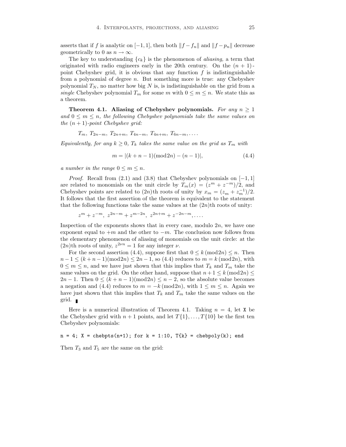asserts that if f is analytic on  $[-1, 1]$ , then both  $||f - f_n||$  and  $||f - p_n||$  decrease geometrically to 0 as  $n \to \infty$ .

The key to understanding  ${c_k}$  is the phenomenon of *aliasing*, a term that originated with radio engineers early in the 20th century. On the  $(n + 1)$ point Chebyshev grid, it is obvious that any function  $f$  is indistinguishable from a polynomial of degree n. But something more is true: any Chebyshev polynomial  $T_N$ , no matter how big N is, is indistinguishable on the grid from a single Chebyshev polynomial  $T_m$  for some m with  $0 \leq m \leq n$ . We state this as a theorem.

Theorem 4.1. Aliasing of Chebyshev polynomials. For any  $n \geq 1$ and  $0 \leq m \leq n$ , the following Chebyshev polynomials take the same values on the  $(n + 1)$ -point Chebyshev grid:

$$
T_m
$$
,  $T_{2n-m}$ ,  $T_{2n+m}$ ,  $T_{4n-m}$ ,  $T_{4n+m}$ ,  $T_{6n-m}$ ,...

Equivalently, for any  $k \geq 0$ ,  $T_k$  takes the same value on the grid as  $T_m$  with

$$
m = |(k + n - 1)(\text{mod}2n) - (n - 1)|, \tag{4.4}
$$

a number in the range  $0 \leq m \leq n$ .

*Proof.* Recall from  $(2.1)$  and  $(3.8)$  that Chebyshev polynomials on  $[-1, 1]$ are related to monomials on the unit circle by  $T_m(x) = (z^m + z^{-m})/2$ , and Chebyshev points are related to  $(2n)$ th roots of unity by  $x_m = (z_m + z_m^{-1})/2$ . It follows that the first assertion of the theorem is equivalent to the statement that the following functions take the same values at the  $(2n)$ <sup>th</sup> roots of unity:

 $z^{m} + z^{-m}, z^{2n-m} + z^{m-2n}, z^{2n+m} + z^{-2n-m}, \dots$ 

Inspection of the exponents shows that in every case, modulo  $2n$ , we have one exponent equal to  $+m$  and the other to  $-m$ . The conclusion now follows from the elementary phenomenon of aliasing of monomials on the unit circle: at the  $(2n)$ th roots of unity,  $z^{2\nu n} = 1$  for any integer  $\nu$ .

For the second assertion (4.4), suppose first that  $0 \leq k \pmod{2n} \leq n$ . Then  $n-1 \leq (k+n-1)(\text{mod } 2n) \leq 2n-1$ , so  $(4.4)$  reduces to  $m = k \pmod{2n}$ , with  $0 \leq m \leq n$ , and we have just shown that this implies that  $T_k$  and  $T_m$  take the same values on the grid. On the other hand, suppose that  $n+1 \leq k \pmod{2n} \leq$  $2n-1$ . Then  $0 \leq (k+n-1) \pmod{2n} \leq n-2$ , so the absolute value becomes a negation and (4.4) reduces to  $m = -k \pmod{2n}$ , with  $1 \leq m \leq n$ . Again we have just shown that this implies that  $T_k$  and  $T_m$  take the same values on the grid.

Here is a numerical illustration of Theorem 4.1. Taking  $n = 4$ , let X be the Chebyshev grid with  $n + 1$  points, and let  $T\{1\}, \ldots, T\{10\}$  be the first ten Chebyshev polynomials:

## $n = 4$ ;  $X = \text{chebpts}(n+1)$ ; for  $k = 1:10$ ,  $T{k} = \text{chebpoly}(k)$ ; end

Then  $T_3$  and  $T_5$  are the same on the grid: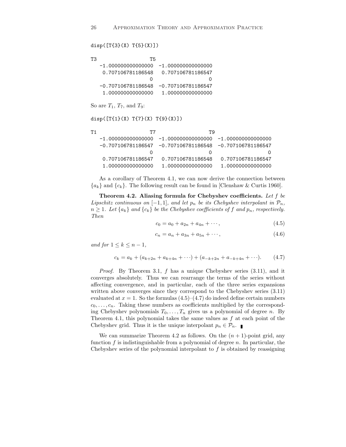disp([T{3}(X) T{5}(X)])

| TЗ | Т5                   |                      |  |  |  |  |
|----|----------------------|----------------------|--|--|--|--|
|    | $-1.000000000000000$ | $-1.000000000000000$ |  |  |  |  |
|    | 0.707106781186548    | 0.707106781186547    |  |  |  |  |
|    |                      |                      |  |  |  |  |
|    | $-0.707106781186548$ | $-0.707106781186547$ |  |  |  |  |
|    | 1.000000000000000    | 1.000000000000000    |  |  |  |  |

So are  $T_1$ ,  $T_7$ , and  $T_9$ :

### disp([T{1}(X) T{7}(X) T{9}(X)])

| т7                | Т9                                                         |                   |
|-------------------|------------------------------------------------------------|-------------------|
|                   |                                                            |                   |
|                   | $-0.707106781186547 -0.707106781186548 -0.707106781186547$ |                   |
|                   |                                                            |                   |
| 0.707106781186547 | 0.707106781186548                                          | 0.707106781186547 |
| 1.000000000000000 | 1.000000000000000                                          | 1.000000000000000 |

As a corollary of Theorem 4.1, we can now derive the connection between  ${a_k}$  and  ${c_k}$ . The following result can be found in [Clenshaw & Curtis 1960].

Theorem 4.2. Aliasing formula for Chebyshev coefficients. Let  $f$  be Lipschitz continuous on  $[-1, 1]$ , and let  $p_n$  be its Chebyshev interpolant in  $\mathcal{P}_n$ ,  $n \geq 1$ . Let  $\{a_k\}$  and  $\{c_k\}$  be the Chebyshev coefficients of f and  $p_n$ , respectively. Then

$$
c_0 = a_0 + a_{2n} + a_{4n} + \cdots, \qquad (4.5)
$$

$$
c_n = a_n + a_{3n} + a_{5n} + \cdots, \tag{4.6}
$$

and for  $1 \leq k \leq n-1$ ,

$$
c_k = a_k + (a_{k+2n} + a_{k+4n} + \cdots) + (a_{-k+2n} + a_{-k+4n} + \cdots). \tag{4.7}
$$

*Proof.* By Theorem 3.1,  $f$  has a unique Chebyshev series  $(3.11)$ , and it converges absolutely. Thus we can rearrange the terms of the series without affecting convergence, and in particular, each of the three series expansions written above converges since they correspond to the Chebyshev series  $(3.11)$ evaluated at  $x = 1$ . So the formulas  $(4.5)$ – $(4.7)$  do indeed define certain numbers  $c_0, \ldots, c_n$ . Taking these numbers as coefficients multiplied by the corresponding Chebyshev polynomials  $T_0, \ldots, T_n$  gives us a polynomial of degree n. By Theorem 4.1, this polynomial takes the same values as  $f$  at each point of the Chebyshev grid. Thus it is the unique interpolant  $p_n \in \mathcal{P}_n$ .

We can summarize Theorem 4.2 as follows. On the  $(n + 1)$ -point grid, any function f is indistinguishable from a polynomial of degree n. In particular, the Chebyshev series of the polynomial interpolant to  $f$  is obtained by reassigning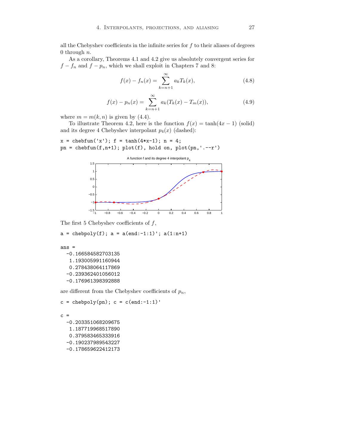all the Chebyshev coefficients in the infinite series for  $f$  to their aliases of degrees 0 through  $n$ .

As a corollary, Theorems 4.1 and 4.2 give us absolutely convergent series for  $f - f_n$  and  $f - p_n$ , which we shall exploit in Chapters 7 and 8:

$$
f(x) - f_n(x) = \sum_{k=n+1}^{\infty} a_k T_k(x),
$$
\n(4.8)

$$
f(x) - p_n(x) = \sum_{k=n+1}^{\infty} a_k (T_k(x) - T_m(x)),
$$
\n(4.9)

where  $m = m(k, n)$  is given by (4.4).

To illustrate Theorem 4.2, here is the function  $f(x) = \tanh(4x - 1)$  (solid) and its degree 4 Chebyshev interpolant  $p_4(x)$  (dashed):

 $x = \text{chebfun('x'); } f = \tanh(4*x-1); n = 4;$ pn = chebfun(f,n+1); plot(f), hold on, plot(pn,'.--r')



The first 5 Chebyshev coefficients of  $f$ ,

$$
a = \text{chebpoly}(f); a = a(\text{end:}-1:1)'; a(1:n+1)
$$

```
ans =
```
-0.166584582703135 1.193005991160944 0.278438064117869 -0.239362401056012 -0.176961398392888

are different from the Chebyshev coefficients of  $p_n$ ,

$$
c = \text{chebpoly}(pn); c = c(\text{end:}-1:1)'
$$

 $c =$ -0.203351068209675 1.187719968517890 0.379583465333916 -0.190237989543227 -0.178659622412173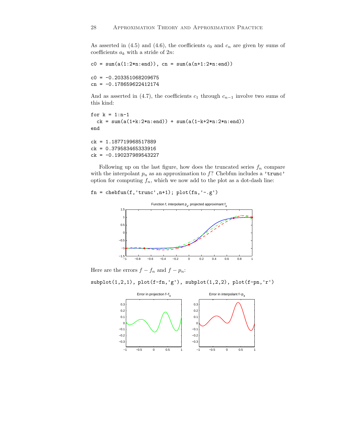As asserted in (4.5) and (4.6), the coefficients  $c_0$  and  $c_n$  are given by sums of coefficients  $a_k$  with a stride of  $2n$ :

```
c0 = sum(a(1:2*n:end)), cn = sum(a(n+1:2*n:end))c0 = -0.203351068209675cn = -0.178659622412174
```
And as asserted in (4.7), the coefficients  $c_1$  through  $c_{n-1}$  involve two sums of this kind:

```
for k = 1:n-1ck = sum(a(1+k:2*n:end)) + sum(a(1-k+2*n:end))end
ck = 1.187719968517889
```

```
ck = 0.379583465333916
ck = -0.190237989543227
```
Following up on the last figure, how does the truncated series  $f_n$  compare with the interpolant  $p_n$  as an approximation to f? Chebfun includes a 'trunc' option for computing  $f_n$ , which we now add to the plot as a dot-dash line:

```
fn = chebfun(f,'trunc',n+1); plot(fn,'-.g')
```


Here are the errors  $f - f_n$  and  $f - p_n$ :

subplot(1,2,1), plot(f-fn,'g'), subplot(1,2,2), plot(f-pn,'r')

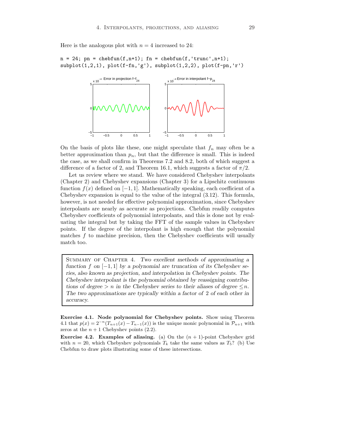Here is the analogous plot with  $n = 4$  increased to 24:

## $n = 24$ ;  $pn = chebfun(f, n+1)$ ;  $fn = chebfun(f, 'trunc', n+1)$ ;  $\text{subplot}(1,2,1)$ ,  $\text{plot}(f-fn,'g')$ ,  $\text{subplot}(1,2,2)$ ,  $\text{plot}(f-pn,'r')$



On the basis of plots like these, one might speculate that  $f_n$  may often be a better approximation than  $p_n$ , but that the difference is small. This is indeed the case, as we shall confirm in Theorems 7.2 and 8.2, both of which suggest a difference of a factor of 2, and Theorem 16.1, which suggests a factor of  $\pi/2$ .

Let us review where we stand. We have considered Chebyshev interpolants (Chapter 2) and Chebyshev expansions (Chapter 3) for a Lipschitz continuous function  $f(x)$  defined on [−1, 1]. Mathematically speaking, each coefficient of a Chebyshev expansion is equal to the value of the integral (3.12). This formula, however, is not needed for effective polynomial approximation, since Chebyshev interpolants are nearly as accurate as projections. Chebfun readily computes Chebyshev coefficients of polynomial interpolants, and this is done not by evaluating the integral but by taking the FFT of the sample values in Chebyshev points. If the degree of the interpolant is high enough that the polynomial matches  $f$  to machine precision, then the Chebyshev coefficients will usually match too.

SUMMARY OF CHAPTER 4. Two excellent methods of approximating a function f on  $[-1, 1]$  by a polynomial are truncation of its Chebyshev series, also known as projection, and interpolation in Chebyshev points. The Chebyshev interpolant is the polynomial obtained by reassigning contributions of degree > n in the Chebyshev series to their aliases of degree  $\leq n$ . The two approximations are typically within a factor of 2 of each other in accuracy.

Exercise 4.1. Node polynomial for Chebyshev points. Show using Theorem 4.1 that  $p(x) = 2^{-n}(T_{n+1}(x) - T_{n-1}(x))$  is the unique monic polynomial in  $\mathcal{P}_{n+1}$  with zeros at the  $n + 1$  Chebyshev points (2.2).

**Exercise 4.2. Examples of aliasing.** (a) On the  $(n + 1)$ -point Chebyshev grid with  $n = 20$ , which Chebyshev polynomials  $T_k$  take the same values as  $T_5$ ? (b) Use Chebfun to draw plots illustrating some of these intersections.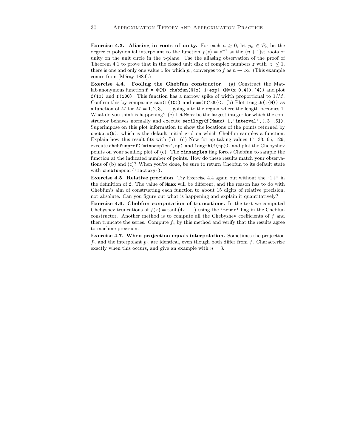#### 30 Approximation Theory and Approximation Practice

Exercise 4.3. Aliasing in roots of unity. For each  $n \geq 0$ , let  $p_n \in \mathcal{P}_n$  be the degree *n* polynomial interpolant to the function  $f(z) = z^{-1}$  at the  $(n + 1)$ st roots of unity on the unit circle in the  $z$ -plane. Use the aliasing observation of the proof of Theorem 4.1 to prove that in the closed unit disk of complex numbers z with  $|z| \leq 1$ , there is one and only one value z for which  $p_n$  converges to f as  $n \to \infty$ . (This example comes from [Méray 1884].)

Exercise 4.4. Fooling the Chebfun constructor. (a) Construct the Matlab anonymous function  $f = \mathcal{Q}(M)$  chebfun( $\mathcal{Q}(x)$  1+exp(-(M\*(x-0.4)).^4)) and plot  $f(10)$  and  $f(100)$ . This function has a narrow spike of width proportional to  $1/M$ . Confirm this by comparing sum( $f(10)$ ) and sum( $f(100)$ ). (b) Plot length( $f(M)$ ) as a function of M for  $M = 1, 2, 3, \ldots$ , going into the region where the length becomes 1. What do you think is happening? (c) Let Mmax be the largest integer for which the constructor behaves normally and execute semilogy(f(Mmax)-1,'interval',[.3 .5]). Superimpose on this plot information to show the locations of the points returned by chebpts(9), which is the default initial grid on which Chebfun samples a function. Explain how this result fits with (b). (d) Now for np taking values 17, 33, 65, 129, execute chebfunpref('minsamples',np) and length(f(np)), and plot the Chebyshev points on your semilog plot of (c). The minsamples flag forces Chebfun to sample the function at the indicated number of points. How do these results match your observations of (b) and (c)? When you're done, be sure to return Chebfun to its default state with chebfunpref('factory').

**Exercise 4.5. Relative precision.** Try Exercise 4.4 again but without the " $1+$ " in the definition of f. The value of Mmax will be different, and the reason has to do with Chebfun's aim of constructing each function to about 15 digits of relative precision, not absolute. Can you figure out what is happening and explain it quantitatively?

Exercise 4.6. Chebfun computation of truncations. In the text we computed Chebyshev truncations of  $f(x) = \tanh(4x - 1)$  using the 'trunc' flag in the Chebfun constructor. Another method is to compute all the Chebyshev coefficients of f and then truncate the series. Compute  $f_4$  by this method and verify that the results agree to machine precision.

Exercise 4.7. When projection equals interpolation. Sometimes the projection  $f_n$  and the interpolant  $p_n$  are identical, even though both differ from f. Characterize exactly when this occurs, and give an example with  $n = 3$ .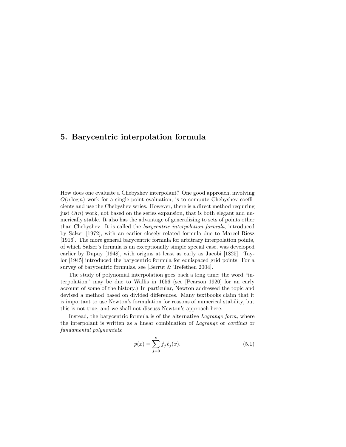## 5. Barycentric interpolation formula

How does one evaluate a Chebyshev interpolant? One good approach, involving  $O(n \log n)$  work for a single point evaluation, is to compute Chebyshev coefficients and use the Chebyshev series. However, there is a direct method requiring just  $O(n)$  work, not based on the series expansion, that is both elegant and numerically stable. It also has the advantage of generalizing to sets of points other than Chebyshev. It is called the barycentric interpolation formula, introduced by Salzer [1972], with an earlier closely related formula due to Marcel Riesz [1916]. The more general barycentric formula for arbitrary interpolation points, of which Salzer's formula is an exceptionally simple special case, was developed earlier by Dupuy [1948], with origins at least as early as Jacobi [1825]. Taylor [1945] introduced the barycentric formula for equispaced grid points. For a survey of barycentric formulas, see [Berrut & Trefethen 2004].

The study of polynomial interpolation goes back a long time; the word "interpolation" may be due to Wallis in 1656 (see [Pearson 1920] for an early account of some of the history.) In particular, Newton addressed the topic and devised a method based on divided differences. Many textbooks claim that it is important to use Newton's formulation for reasons of numerical stability, but this is not true, and we shall not discuss Newton's approach here.

Instead, the barycentric formula is of the alternative Lagrange form, where the interpolant is written as a linear combination of Lagrange or cardinal or fundamental polynomials:

$$
p(x) = \sum_{j=0}^{n} f_j \ell_j(x).
$$
 (5.1)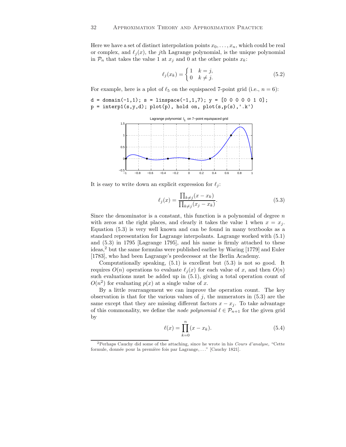Here we have a set of distinct interpolation points  $x_0, \ldots, x_n$ , which could be real or complex, and  $\ell_j (x)$ , the jth Lagrange polynomial, is the unique polynomial in  $\mathcal{P}_n$  that takes the value 1 at  $x_i$  and 0 at the other points  $x_k$ :

$$
\ell_j(x_k) = \begin{cases} 1 & k = j, \\ 0 & k \neq j. \end{cases}
$$
 (5.2)

For example, here is a plot of  $\ell_5$  on the equispaced 7-point grid (i.e.,  $n = 6$ ):

 $d = domain(-1,1); s = linespace(-1,1,7); y = [0 0 0 0 0 1 0];$  $p = \text{interp1}(s, y, d)$ ;  $plot(p)$ , hold on,  $plot(s, p(s), ' . k')$ 



It is easy to write down an explicit expression for  $\ell_i$ :

$$
\ell_j(x) = \frac{\prod_{k \neq j} (x - x_k)}{\prod_{k \neq j} (x_j - x_k)}.
$$
\n(5.3)

Since the denominator is a constant, this function is a polynomial of degree  $n$ with zeros at the right places, and clearly it takes the value 1 when  $x = x_i$ . Equation (5.3) is very well known and can be found in many textbooks as a standard representation for Lagrange interpolants. Lagrange worked with (5.1) and (5.3) in 1795 [Lagrange 1795], and his name is firmly attached to these ideas,<sup>2</sup> but the same formulas were published earlier by Waring [1779] and Euler [1783], who had been Lagrange's predecessor at the Berlin Academy.

Computationally speaking, (5.1) is excellent but (5.3) is not so good. It requires  $O(n)$  operations to evaluate  $\ell_i(x)$  for each value of x, and then  $O(n)$ such evaluations must be added up in (5.1), giving a total operation count of  $O(n^2)$  for evaluating  $p(x)$  at a single value of x.

By a little rearrangement we can improve the operation count. The key observation is that for the various values of  $j$ , the numerators in  $(5.3)$  are the same except that they are missing different factors  $x - x_i$ . To take advantage of this commonality, we define the *node polynomial*  $\ell \in \mathcal{P}_{n+1}$  for the given grid by

$$
\ell(x) = \prod_{k=0}^{n} (x - x_k).
$$
 (5.4)

 ${}^{2}$ Perhaps Cauchy did some of the attaching, since he wrote in his Cours d'analyse, "Cette formule, donnée pour la première fois par Lagrange, ..." [Cauchy 1821].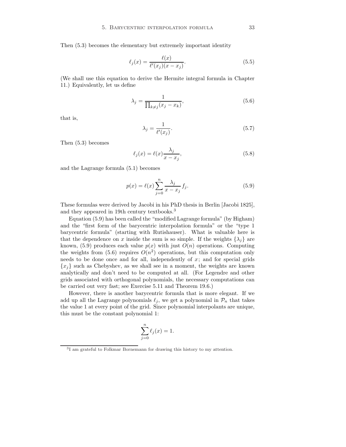Then (5.3) becomes the elementary but extremely important identity

$$
\ell_j(x) = \frac{\ell(x)}{\ell'(x_j)(x - x_j)}.\tag{5.5}
$$

(We shall use this equation to derive the Hermite integral formula in Chapter 11.) Equivalently, let us define

$$
\lambda_j = \frac{1}{\prod_{k \neq j} (x_j - x_k)},\tag{5.6}
$$

that is,

$$
\lambda_j = \frac{1}{\ell'(x_j)}.\tag{5.7}
$$

Then (5.3) becomes

$$
\ell_j(x) = \ell(x) \frac{\lambda_j}{x - x_j},\tag{5.8}
$$

and the Lagrange formula (5.1) becomes

$$
p(x) = \ell(x) \sum_{j=0}^{n} \frac{\lambda_j}{x - x_j} f_j.
$$
\n
$$
(5.9)
$$

These formulas were derived by Jacobi in his PhD thesis in Berlin [Jacobi 1825], and they appeared in 19th century textbooks.<sup>3</sup>

Equation (5.9) has been called the "modified Lagrange formula" (by Higham) and the "first form of the barycentric interpolation formula" or the "type 1 barycentric formula" (starting with Rutishauser). What is valuable here is that the dependence on x inside the sum is so simple. If the weights  $\{\lambda_j\}$  are known, (5.9) produces each value  $p(x)$  with just  $O(n)$  operations. Computing the weights from (5.6) requires  $O(n^2)$  operations, but this computation only needs to be done once and for all, independently of  $x$ ; and for special grids  ${x_i}$  such as Chebyshev, as we shall see in a moment, the weights are known analytically and don't need to be computed at all. (For Legendre and other grids associated with orthogonal polynomials, the necessary computations can be carried out very fast; see Exercise 5.11 and Theorem 19.6.)

However, there is another barycentric formula that is more elegant. If we add up all the Lagrange polynomials  $\ell_i$ , we get a polynomial in  $\mathcal{P}_n$  that takes the value 1 at every point of the grid. Since polynomial interpolants are unique, this must be the constant polynomial 1:

$$
\sum_{j=0}^{n} \ell_j(x) = 1.
$$

<sup>3</sup> I am grateful to Folkmar Bornemann for drawing this history to my attention.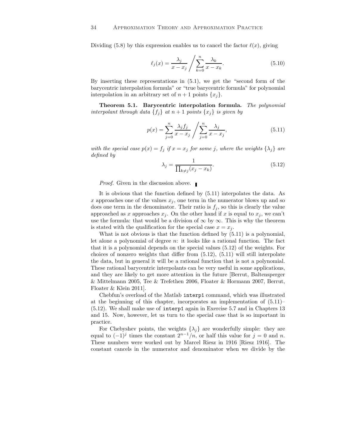Dividing (5.8) by this expression enables us to cancel the factor  $\ell(x)$ , giving

$$
\ell_j(x) = \frac{\lambda_j}{x - x_j} / \sum_{k=0}^n \frac{\lambda_k}{x - x_k}.
$$
\n(5.10)

By inserting these representations in (5.1), we get the "second form of the barycentric interpolation formula" or "true barycentric formula" for polynomial interpolation in an arbitrary set of  $n+1$  points  $\{x_i\}$ .

Theorem 5.1. Barycentric interpolation formula. The polynomial interpolant through data  $\{f_j\}$  at  $n+1$  points  $\{x_j\}$  is given by

$$
p(x) = \sum_{j=0}^{n} \frac{\lambda_j f_j}{x - x_j} / \sum_{j=0}^{n} \frac{\lambda_j}{x - x_j},
$$
\n(5.11)

with the special case  $p(x) = f_j$  if  $x = x_j$  for some j, where the weights  $\{\lambda_j\}$  are defined by

$$
\lambda_j = \frac{1}{\prod_{k \neq j} (x_j - x_k)}.\tag{5.12}
$$

*Proof.* Given in the discussion above.

It is obvious that the function defined by (5.11) interpolates the data. As x approaches one of the values  $x_j$ , one term in the numerator blows up and so does one term in the denominator. Their ratio is  $f_i$ , so this is clearly the value approached as x approaches  $x_j$ . On the other hand if x is equal to  $x_j$ , we can't use the formula: that would be a division of  $\infty$  by  $\infty$ . This is why the theorem is stated with the qualification for the special case  $x = x<sub>j</sub>$ .

What is not obvious is that the function defined by (5.11) is a polynomial, let alone a polynomial of degree n: it looks like a rational function. The fact that it is a polynomial depends on the special values (5.12) of the weights. For choices of nonzero weights that differ from  $(5.12)$ ,  $(5.11)$  will still interpolate the data, but in general it will be a rational function that is not a polynomial. These rational barycentric interpolants can be very useful in some applications, and they are likely to get more attention in the future [Berrut, Baltensperger & Mittelmann 2005, Tee & Trefethen 2006, Floater & Hormann 2007, Berrut, Floater & Klein 2011].

Chebfun's overload of the Matlab interp1 command, which was illustrated at the beginning of this chapter, incorporates an implementation of  $(5.11)$ (5.12). We shall make use of interp1 again in Exercise 5.7 and in Chapters 13 and 15. Now, however, let us turn to the special case that is so important in practice.

For Chebyshev points, the weights  $\{\lambda_i\}$  are wonderfully simple: they are equal to  $(-1)^j$  times the constant  $2^{n-1}/n$ , or half this value for  $j = 0$  and n. These numbers were worked out by Marcel Riesz in 1916 [Riesz 1916]. The constant cancels in the numerator and denominator when we divide by the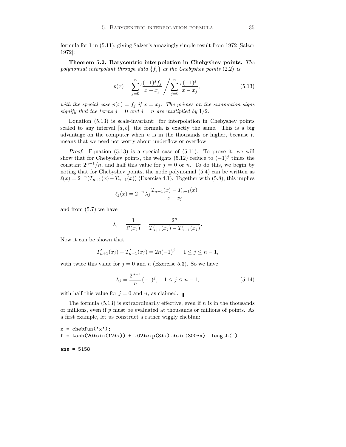formula for 1 in (5.11), giving Salzer's amazingly simple result from 1972 [Salzer 1972]:

Theorem 5.2. Barycentric interpolation in Chebyshev points. The polynomial interpolant through data  $\{f_j\}$  at the Chebyshev points (2.2) is

$$
p(x) = \sum_{j=0}^{n} \frac{(-1)^j f_j}{x - x_j} / \sum_{j=0}^{n} \frac{(-1)^j}{x - x_j},
$$
\n(5.13)

with the special case  $p(x) = f_j$  if  $x = x_j$ . The primes on the summation signs signify that the terms  $j = 0$  and  $j = n$  are multiplied by  $1/2$ .

Equation (5.13) is scale-invariant: for interpolation in Chebyshev points scaled to any interval  $[a, b]$ , the formula is exactly the same. This is a big advantage on the computer when  $n$  is in the thousands or higher, because it means that we need not worry about underflow or overflow.

*Proof.* Equation  $(5.13)$  is a special case of  $(5.11)$ . To prove it, we will show that for Chebyshev points, the weights (5.12) reduce to  $(-1)^j$  times the constant  $2^{n-1}/n$ , and half this value for  $j = 0$  or n. To do this, we begin by noting that for Chebyshev points, the node polynomial (5.4) can be written as  $\ell(x) = 2^{-n}(T_{n+1}(x) - T_{n-1}(x))$  (Exercise 4.1). Together with (5.8), this implies

$$
\ell_j(x) = 2^{-n} \lambda_j \frac{T_{n+1}(x) - T_{n-1}(x)}{x - x_j},
$$

and from (5.7) we have

$$
\lambda_j = \frac{1}{\ell'(x_j)} = \frac{2^n}{T'_{n+1}(x_j) - T'_{n-1}(x_j)}
$$

Now it can be shown that

$$
T'_{n+1}(x_j) - T'_{n-1}(x_j) = 2n(-1)^j, \quad 1 \le j \le n-1,
$$

with twice this value for  $j = 0$  and n (Exercise 5.3). So we have

$$
\lambda_j = \frac{2^{n-1}}{n}(-1)^j, \quad 1 \le j \le n-1,
$$
\n(5.14)

.

with half this value for  $j = 0$  and n, as claimed.

The formula  $(5.13)$  is extraordinarily effective, even if n is in the thousands or millions, even if  $p$  must be evaluated at thousands or millions of points. As a first example, let us construct a rather wiggly chebfun:

```
x = \text{chebfun}('x');f = \tanh(20*sin(12*x)) + .02*exp(3*x) . *sin(300*x); length(f)
```
ans = 5158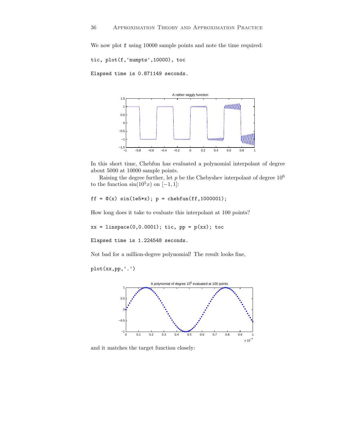We now plot  $f$  using 10000 sample points and note the time required:

tic, plot(f,'numpts',10000), toc

Elapsed time is 0.871149 seconds.



In this short time, Chebfun has evaluated a polynomial interpolant of degree about 5000 at 10000 sample points.

Raising the degree further, let  $p$  be the Chebyshev interpolant of degree  $10^6$ to the function  $sin(10^5x)$  on [-1, 1]:

ff =  $\mathfrak{C}(x)$  sin(1e5\*x); p = chebfun(ff,1000001);

How long does it take to evaluate this interpolant at 100 points?

 $xx = 1$ inspace(0,0.0001); tic, pp =  $p(xx)$ ; toc

Elapsed time is 1.224548 seconds.

Not bad for a million-degree polynomial! The result looks fine,

plot(xx,pp,'.')



and it matches the target function closely: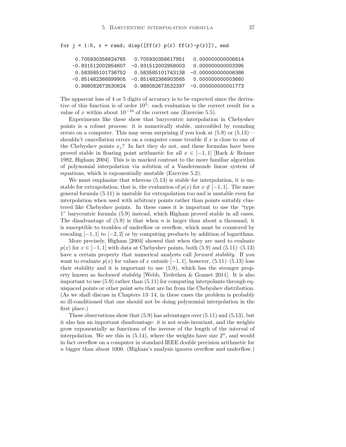```
for j = 1:5, r = rand; disp([ff(r) p(r) ff(r)-p(r)]), end
```

```
0.705930356624765 0.705930356617951 0.000000000006814
-0.931512002954607 -0.931512002958003 0.000000000003395
0.583585101736752 0.583585101743138 -0.000000000006386
-0.851482366899905 -0.851482366903565 0.000000000003660
0.988082673530624 0.988082673532397 -0.000000000001773
```
The apparent loss of 4 or 5 digits of accuracy is to be expected since the derivative of this function is of order  $10^5$ : each evaluation is the correct result for a value of x within about  $10^{-16}$  of the correct one (Exercise 5.5).

Experiments like these show that barycentric interpolation in Chebyshev points is a robust process: it is numerically stable, untroubled by rounding errors on a computer. This may seem surprising if you look at  $(5.9)$  or  $(5.13)$  shouldn't cancellation errors on a computer cause trouble if  $x$  is close to one of the Chebyshev points  $x_i$ ? In fact they do not, and these formulas have been proved stable in floating point arithmetic for all  $x \in [-1,1]$  [Rack & Reimer 1982, Higham 2004]. This is in marked contrast to the more familiar algorithm of polynomial interpolation via solution of a Vandermonde linear system of equations, which is exponentially unstable (Exercise 5.2).

We must emphasize that whereas  $(5.13)$  is stable for interpolation, it is unstable for extrapolation, that is, the evaluation of  $p(x)$  for  $x \notin [-1, 1]$ . The more general formula (5.11) is unstable for extrapolation too and is unstable even for interpolation when used with arbitrary points rather than points suitably clustered like Chebyshev points. In these cases it is important to use the "type 1" barycentric formula (5.9) instead, which Higham proved stable in all cases. The disadvantage of  $(5.9)$  is that when n is larger than about a thousand, it is susceptible to troubles of underflow or overflow, which must be countered by rescaling  $[-1, 1]$  to  $[-2, 2]$  or by computing products by addition of logarithms.

More precisely, Higham [2004] showed that when they are used to evaluate  $p(x)$  for  $x \in [-1, 1]$  with data at Chebyshev points, both (5.9) and (5.11)–(5.13) have a certain property that numerical analysts call *forward stability*. If you want to evaluate  $p(x)$  for values of x outside  $[-1, 1]$ , however,  $(5.11)$ – $(5.13)$  lose their stability and it is important to use (5.9), which has the stronger property known as backward stability [Webb, Trefethen & Gonnet 2011]. It is also important to use  $(5.9)$  rather than  $(5.11)$  for computing interpolants through equispaced points or other point sets that are far from the Chebyshev distribution. (As we shall discuss in Chapters 13–14, in these cases the problem is probably so ill-conditioned that one should not be doing polynomial interpolation in the first place.)

These observations show that  $(5.9)$  has advantages over  $(5.11)$  and  $(5.13)$ , but it also has an important disadvantage: it is not scale-invariant, and the weights grow exponentially as functions of the inverse of the length of the interval of interpolation. We see this in  $(5.14)$ , where the weights have size  $2<sup>n</sup>$ , and would in fact overflow on a computer in standard IEEE double precision arithmetic for n bigger than about 1000. (Higham's analysis ignores overflow and underflow.)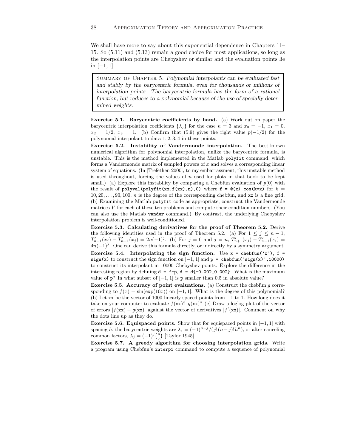We shall have more to say about this exponential dependence in Chapters 11– 15. So (5.11) and (5.13) remain a good choice for most applications, so long as the interpolation points are Chebyshev or similar and the evaluation points lie in [−1, 1].

SUMMARY OF CHAPTER 5. Polynomial interpolants can be evaluated fast and stably by the barycentric formula, even for thousands or millions of interpolation points. The barycentric formula has the form of a rational function, but reduces to a polynomial because of the use of specially determined weights.

Exercise 5.1. Barycentric coefficients by hand. (a) Work out on paper the barycentric interpolation coefficients  $\{\lambda_j\}$  for the case  $n = 3$  and  $x_0 = -1$ ,  $x_1 = 0$ ,  $x_2 = 1/2$ ,  $x_3 = 1$ . (b) Confirm that (5.9) gives the right value  $p(-1/2)$  for the polynomial interpolant to data 1, 2, 3, 4 in these points.

Exercise 5.2. Instability of Vandermonde interpolation. The best-known numerical algorithm for polynomial interpolation, unlike the barycentric formula, is unstable. This is the method implemented in the Matlab polyfit command, which forms a Vandermonde matrix of sampled powers of  $x$  and solves a corresponding linear system of equations. (In [Trefethen 2000], to my embarrassment, this unstable method is used throughout, forcing the values of  $n$  used for plots in that book to be kept small.) (a) Explore this instability by comparing a Chebfun evaluation of  $p(0)$  with the result of polyval(polyfit(xx,f(xx),n),0) where  $f = \mathcal{Q}(x)$  cos(k\*x) for  $k =$  $10, 20, \ldots, 90, 100, n$  is the degree of the corresponding chebfun, and  $\mathbf{x} \mathbf{x}$  is a fine grid. (b) Examining the Matlab polyfit code as appropriate, construct the Vandermonde matrices V for each of these ten problems and compute their condition numbers. (You can also use the Matlab vander command.) By contrast, the underlying Chebyshev interpolation problem is well-conditioned.

Exercise 5.3. Calculating derivatives for the proof of Theorem 5.2. Derive the following identities used in the proof of Theorem 5.2. (a) For  $1 \leq j \leq n-1$ ,  $T'_{n+1}(x_j) - T'_{n-1}(x_j) = 2n(-1)^j$ . (b) For  $j = 0$  and  $j = n$ ,  $T'_{n+1}(x_j) - T'_{n-1}(x_j) =$  $4n(-1)<sup>j</sup>$ . One can derive this formula directly, or indirectly by a symmetry argument. Exercise 5.4. Interpolating the sign function. Use  $x =$  chebfun('x'), f = sign(x) to construct the sign function on  $[-1, 1]$  and  $p =$  chebfun('sign(x)',10000) to construct its interpolant in 10000 Chebyshev points. Explore the difference in the interesting region by defining  $d = f-p$ ,  $d = d(-0.002, 0.002)$ . What is the maximum value of p? In what subset of  $[-1, 1]$  is p smaller than 0.5 in absolute value?

Exercise 5.5. Accuracy of point evaluations. (a) Construct the chebfun  $g$  corresponding to  $f(x) = \sin(\exp(10x))$  on [-1, 1]. What is the degree of this polynomial? (b) Let xx be the vector of 1000 linearly spaced points from −1 to 1. How long does it take on your computer to evaluate  $f(\mathbf{xx})$ ?  $g(\mathbf{xx})$ ? (c) Draw a loglog plot of the vector of errors  $|f(\mathbf{x}) - g(\mathbf{x})|$  against the vector of derivatives  $|f'(\mathbf{x})|$ . Comment on why the dots line up as they do.

Exercise 5.6. Equispaced points. Show that for equispaced points in  $[-1, 1]$  with spacing h, the barycentric weights are  $\lambda_j = (-1)^{n-j} / (j!(n-j)!h^n)$ , or after canceling common factors,  $\lambda_j = (-1)^j \binom{n}{j}$  [Taylor 1945].

Exercise 5.7. A greedy algorithm for choosing interpolation grids. Write a program using Chebfun's interp1 command to compute a sequence of polynomial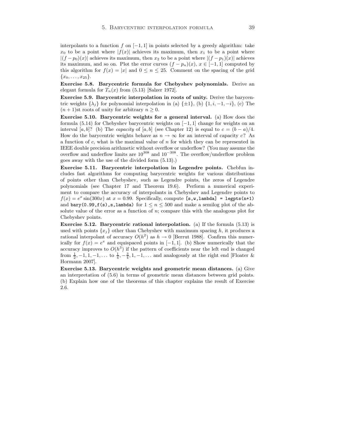interpolants to a function f on  $[-1, 1]$  in points selected by a greedy algorithm: take  $x_0$  to be a point where  $|f(x)|$  achieves its maximum, then  $x_1$  to be a point where  $|(f - p_0)(x)|$  achieves its maximum, then  $x_2$  to be a point where  $|(f - p_1)(x)|$  achieves its maximum, and so on. Plot the error curves  $(f - p_n)(x)$ ,  $x \in [-1, 1]$  computed by this algorithm for  $f(x) = |x|$  and  $0 \le n \le 25$ . Comment on the spacing of the grid  ${x_0, \ldots, x_{25}}.$ 

Exercise 5.8. Barycentric formula for Chebyshev polynomials. Derive an elegant formula for  $T_n(x)$  from (5.13) [Salzer 1972].

Exercise 5.9. Barycentric interpolation in roots of unity. Derive the barycentric weights  $\{\lambda_i\}$  for polynomial interpolation in (a)  $\{\pm 1\}$ , (b)  $\{1, i, -1, -i\}$ , (c) The  $(n + 1)$ st roots of unity for arbitrary  $n \geq 0$ .

Exercise 5.10. Barycentric weights for a general interval. (a) How does the formula (5.14) for Chebyshev barycentric weights on  $[-1, 1]$  change for weights on an interval [a, b]? (b) The capacity of [a, b] (see Chapter 12) is equal to  $c = (b - a)/4$ . How do the barycentric weights behave as  $n \to \infty$  for an interval of capacity c? As a function of  $c$ , what is the maximal value of  $n$  for which they can be represented in IEEE double precision arithmetic without overflow or underflow? (You may assume the overflow and underflow limits are  $10^{308}$  and  $10^{-308}$ . The overflow/underflow problem goes away with the use of the divided form (5.13).)

Exercise 5.11. Barycentric interpolation in Legendre points. Chebfun includes fast algorithms for computing barycentric weights for various distributions of points other than Chebyshev, such as Legendre points, the zeros of Legendre polynomials (see Chapter 17 and Theorem 19.6). Perform a numerical experiment to compare the accuracy of interpolants in Chebyshev and Legendre points to  $f(x) = e^x \sin(300x)$  at  $x = 0.99$ . Specifically, compute [s,w,lambda] = legpts(n+1) and bary(0.99,f(s),s,lambda) for  $1 \le n \le 500$  and make a semilog plot of the absolute value of the error as a function of  $n$ ; compare this with the analogous plot for Chebyshev points.

Exercise 5.12. Barycentric rational interpolation. (a) If the formula (5.13) is used with points  ${x_i}$  other than Chebyshev with maximum spacing h, it produces a rational interpolant of accuracy  $O(h^2)$  as  $h \to 0$  [Berrut 1988]. Confirm this numerically for  $f(x) = e^x$  and equispaced points in [−1, 1]. (b) Show numerically that the accuracy improves to  $O(h^3)$  if the pattern of coefficients near the left end is changed from  $\frac{1}{2}$ , -1, 1, -1,... to  $\frac{1}{4}$ , - $\frac{3}{4}$ , 1, -1,... and analogously at the right end [Floater & Hormann 2007].

Exercise 5.13. Barycentric weights and geometric mean distances. (a) Give an interpretation of (5.6) in terms of geometric mean distances between grid points. (b) Explain how one of the theorems of this chapter explains the result of Exercise 2.6.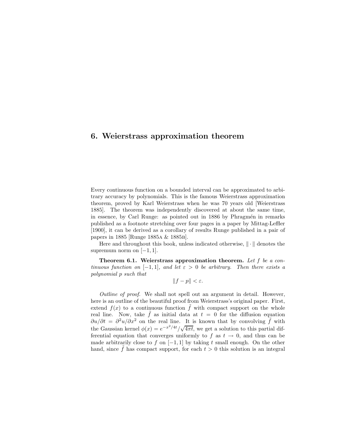## 6. Weierstrass approximation theorem

Every continuous function on a bounded interval can be approximated to arbitrary accuracy by polynomials. This is the famous Weierstrass approximation theorem, proved by Karl Weierstrass when he was 70 years old [Weierstrass 1885]. The theorem was independently discovered at about the same time, in essence, by Carl Runge: as pointed out in 1886 by Phragmén in remarks published as a footnote stretching over four pages in a paper by Mittag-Leffler [1900], it can be derived as a corollary of results Runge published in a pair of papers in 1885 [Runge 1885a & 1885b].

Here and throughout this book, unless indicated otherwise,  $\|\cdot\|$  denotes the supremum norm on  $[-1, 1]$ .

Theorem 6.1. Weierstrass approximation theorem. Let  $f$  be a continuous function on  $[-1, 1]$ , and let  $\varepsilon > 0$  be arbitrary. Then there exists a polynomial p such that

 $||f - p|| < \varepsilon.$ 

Outline of proof. We shall not spell out an argument in detail. However, here is an outline of the beautiful proof from Weierstrass's original paper. First, extend  $f(x)$  to a continuous function f with compact support on the whole real line. Now, take  $\hat{f}$  as initial data at  $t = 0$  for the diffusion equation  $\partial u/\partial t = \partial^2 u/\partial x^2$  on the real line. It is known that by convolving  $\tilde{f}$  with the Gaussian kernel  $\phi(x) = e^{-x^2/4t}/\sqrt{4\pi t}$ , we get a solution to this partial differential equation that converges uniformly to f as  $t \to 0$ , and thus can be made arbitrarily close to f on  $[-1, 1]$  by taking t small enough. On the other hand, since  $\tilde{f}$  has compact support, for each  $t > 0$  this solution is an integral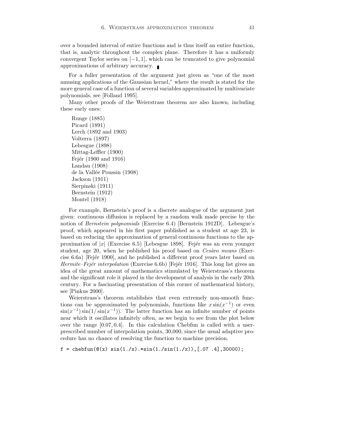over a bounded interval of entire functions and is thus itself an entire function, that is, analytic throughout the complex plane. Therefore it has a uniformly convergent Taylor series on  $[-1, 1]$ , which can be truncated to give polynomial approximations of arbitrary accuracy.

For a fuller presentation of the argument just given as "one of the most amusing applications of the Gaussian kernel," where the result is stated for the more general case of a function of several variables approximated by multivariate polynomials, see [Folland 1995].

Many other proofs of the Weierstrass theorem are also known, including these early ones:

Runge (1885) Picard (1891) Lerch (1892 and 1903) Volterra (1897) Lebesgue (1898) Mittag-Leffler (1900) Fejér (1900 and 1916) Landau (1908) de la Vallée Poussin (1908) Jackson (1911) Sierpinski (1911) Bernstein (1912) Montel (1918)

For example, Bernstein's proof is a discrete analogue of the argument just given: continuous diffusion is replaced by a random walk made precise by the notion of Bernstein polynomials (Exercise 6.4) [Bernstein 1912D]. Lebesgue's proof, which appeared in his first paper published as a student at age 23, is based on reducing the approximation of general continuous functions to the approximation of  $|x|$  (Exercise 6.5) [Lebesgue 1898]. Fejér was an even younger student, age 20, when he published his proof based on  $Ces\`{a}ro$  means (Exercise  $6.6a$  [Fejér 1900], and he published a different proof years later based on Hermite–Fejér interpolation (Exercise 6.6b) [Fejér 1916]. This long list gives an idea of the great amount of mathematics stimulated by Weierstrass's theorem and the significant role it played in the development of analysis in the early 20th century. For a fascinating presentation of this corner of mathematical history, see [Pinkus 2000].

Weierstrass's theorem establishes that even extremely non-smooth functions can be approximated by polynomials, functions like  $x \sin(x^{-1})$  or even  $\sin(x^{-1})\sin(1/\sin(x^{-1}))$ . The latter function has an infinite number of points near which it oscillates infinitely often, as we begin to see from the plot below over the range [0.07, 0.4]. In this calculation Chebfun is called with a userprescribed number of interpolation points, 30,000, since the usual adaptive procedure has no chance of resolving the function to machine precision.

 $f = \text{chebfun}(\mathbb{Q}(x) \sin(1./x) . \sin(1./\sin(1./x)) , [.07 .4] , 30000);$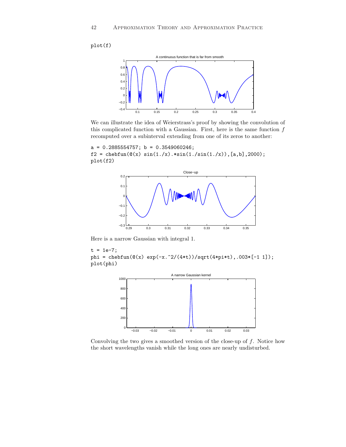plot(f)



We can illustrate the idea of Weierstrass's proof by showing the convolution of this complicated function with a Gaussian. First, here is the same function  $f$ recomputed over a subinterval extending from one of its zeros to another:

 $a = 0.2885554757$ ;  $b = 0.3549060246$ ;  $f2 = \text{chebfun}(\mathbb{Q}(x) \sin(1./x) . \cdot \sin(1./\sin(1./x)) , [a, b], 2000)$ ; plot(f2)



Here is a narrow Gaussian with integral 1.

```
t = 1e-7;phi = chebfun(\mathcal{Q}(x) exp(-x.^2/(4*t))/sqrt(4*pi*t),.003*[-1 1]);
plot(phi)
```


Convolving the two gives a smoothed version of the close-up of  $f$ . Notice how the short wavelengths vanish while the long ones are nearly undisturbed.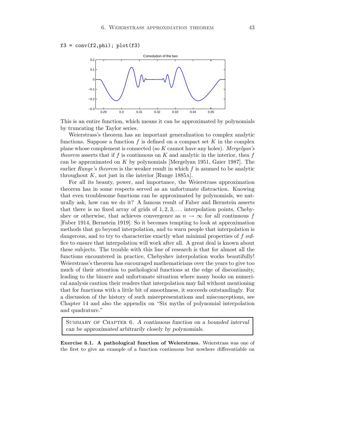```
f3 = \text{conv}(f2, \text{phi}); \text{plot}(f3)
```


This is an entire function, which means it can be approximated by polynomials by truncating the Taylor series.

Weierstrass's theorem has an important generalization to complex analytic functions. Suppose a function f is defined on a compact set K in the complex plane whose complement is connected (so K cannot have any holes). Mergelyan's theorem asserts that if f is continuous on  $K$  and analytic in the interior, then  $f$ can be approximated on  $K$  by polynomials [Mergelyan 1951, Gaier 1987]. The earlier Runge's theorem is the weaker result in which f is asumed to be analytic throughout  $K$ , not just in the interior [Runge 1885A].

For all its beauty, power, and importance, the Weierstrass approximation theorem has in some respects served as an unfortunate distraction. Knowing that even troublesome functions can be approximated by polynomials, we naturally ask, how can we do it? A famous result of Faber and Bernstein asserts that there is no fixed array of grids of  $1, 2, 3, \ldots$  interpolation points, Chebyshev or otherwise, that achieves convergence as  $n \to \infty$  for all continuous f [Faber 1914, Bernstein 1919]. So it becomes tempting to look at approximation methods that go beyond interpolation, and to warn people that interpolation is dangerous, and to try to characterize exactly what minimal properties of  $f$  suffice to ensure that interpolation will work after all. A great deal is known about these subjects. The trouble with this line of research is that for almost all the functions encountered in practice, Chebyshev interpolation works beautifully! Weierstrass's theorem has encouraged mathematicians over the years to give too much of their attention to pathological functions at the edge of discontinuity, leading to the bizarre and unfortunate situation where many books on numerical analysis caution their readers that interpolation may fail without mentioning that for functions with a little bit of smoothness, it succeeds outstandingly. For a discussion of the history of such misrepresentations and misconceptions, see Chapter 14 and also the appendix on "Six myths of polynomial interpolation and quadrature."

SUMMARY OF CHAPTER 6. A continuous function on a bounded interval can be approximated arbitrarily closely by polynomials.

Exercise 6.1. A pathological function of Weierstrass. Weierstrass was one of the first to give an example of a function continuous but nowhere differentiable on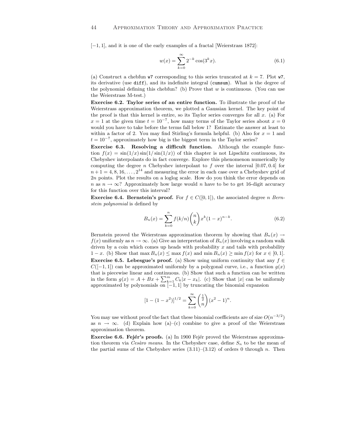[−1, 1], and it is one of the early examples of a fractal [Weierstrass 1872]:

$$
w(x) = \sum_{k=0}^{\infty} 2^{-k} \cos(3^k x).
$$
 (6.1)

(a) Construct a chebfun  $\mathbf{w}^7$  corresponding to this series truncated at  $k = 7$ . Plot  $\mathbf{w}^7$ , its derivative (use diff), and its indefinite integral (cumsum). What is the degree of the polynomial defining this chebfun? (b) Prove that  $w$  is continuous. (You can use the Weierstrass M-test.)

Exercise 6.2. Taylor series of an entire function. To illustrate the proof of the Weierstrass approximation theorem, we plotted a Gaussian kernel. The key point of the proof is that this kernel is entire, so its Taylor series converges for all  $x$ . (a) For  $x = 1$  at the given time  $t = 10^{-7}$ , how many terms of the Taylor series about  $x = 0$ would you have to take before the terms fall below 1? Estimate the answer at least to within a factor of 2. You may find Stirling's formula helpful. (b) Also for  $x = 1$  and  $t = 10^{-7}$ , approximately how big is the biggest term in the Taylor series?

Exercise 6.3. Resolving a difficult function. Although the example function  $f(x) = \sin(1/x) \sin(1/\sin(1/x))$  of this chapter is not Lipschitz continuous, its Chebyshev interpolants do in fact converge. Explore this phenomenon numerically by computing the degree n Chebyshev interpolant to f over the interval  $[0.07, 0.4]$  for  $n+1=4,8,16,\ldots,2^{14}$  and measuring the error in each case over a Chebyshev grid of 2n points. Plot the results on a loglog scale. How do you think the error depends on n as  $n \to \infty$ ? Approximately how large would n have to be to get 16-digit accuracy for this function over this interval?

**Exercise 6.4. Bernstein's proof.** For  $f \in C([0, 1])$ , the associated degree *n* Bernstein polynomial is defined by

$$
B_n(x) = \sum_{k=0}^n f(k/n) {n \choose k} x^k (1-x)^{n-k}.
$$
 (6.2)

Bernstein proved the Weierstrass approximation theorem by showing that  $B_n(x) \to$  $f(x)$  uniformly as  $n \to \infty$ . (a) Give an interpretation of  $B_n(x)$  involving a random walk driven by a coin which comes up heads with probability  $x$  and tails with probability  $1-x$ . (b) Show that max  $B_n(x) \leq \max f(x)$  and  $\min B_n(x) \geq \min f(x)$  for  $x \in [0,1]$ . Exercise 6.5. Lebesgue's proof. (a) Show using uniform continuity that any  $f \in$  $C([-1, 1])$  can be approximated uniformly by a polygonal curve, i.e., a function  $q(x)$ that is piecewise linear and continuous. (b) Show that such a function can be written in the form  $g(x) = A + Bx + \sum_{k=1}^{m} C_k |x - x_k|$ . (c) Show that  $|x|$  can be uniformly approximated by polynomials on [−1, 1] by truncating the binomial expansion

$$
[1 - (1 - x^{2})]^{1/2} = \sum_{k=0}^{\infty} {1 \over 2} (x^{2} - 1)^{n}.
$$

You may use without proof the fact that these binomial coefficients are of size  $O(n^{-3/2})$ as  $n \to \infty$ . (d) Explain how (a)–(c) combine to give a proof of the Weierstrass approximation theorem.

**Exercise 6.6. Fejér's proofs.** (a) In 1900 Fejér proved the Weierstrass approximation theorem via Cesàro means. In the Chebyshev case, define  $S_n$  to be the mean of the partial sums of the Chebyshev series  $(3.11)$ – $(3.12)$  of orders 0 through n. Then